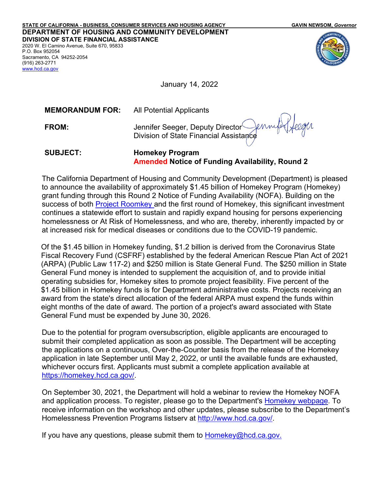**STATE OF CALIFORNIA - BUSINESS, CONSUMER SERVICES AND HOUSING AGENCY GAVIN NEWSOM,** *Governor* **DEPARTMENT OF HOUSING AND COMMUNITY DEVELOPMENT DIVISION OF STATE FINANCIAL ASSISTANCE** 2020 W. El Camino Avenue, Suite 670, 95833 P.O. Box 952054 Sacramento, CA 94252-2054 (916) 263-2771



January 14, 2022

**MEMORANDUM FOR:** All Potential Applicants

[www.hcd.ca.gov](http://www.hcd.ca.gov/)

**FROM:** Jennifer Seeger, Deputy Director Jennifer Seeger, Deputy Director<br>Division of State Financial Assistance

**SUBJECT: Homekey Program Amended Notice of Funding Availability, Round 2**

The California Department of Housing and Community Development (Department) is pleased to announce the availability of approximately \$1.45 billion of Homekey Program (Homekey) grant funding through this Round 2 Notice of Funding Availability (NOFA). Building on the success of both [Project Roomkey](https://www.cdss.ca.gov/inforesources/cdss-programs/housing-programs/project-roomkey) and the first round of Homekey, this significant investment continues a statewide effort to sustain and rapidly expand housing for persons experiencing homelessness or At Risk of Homelessness, and who are, thereby, inherently impacted by or at increased risk for medical diseases or conditions due to the COVID-19 pandemic.

Of the \$1.45 billion in Homekey funding, \$1.2 billion is derived from the Coronavirus State Fiscal Recovery Fund (CSFRF) established by the federal American Rescue Plan Act of 2021 (ARPA) (Public Law 117-2) and \$250 million is State General Fund. The \$250 million in State General Fund money is intended to supplement the acquisition of, and to provide initial operating subsidies for, Homekey sites to promote project feasibility. Five percent of the \$1.45 billion in Homekey funds is for Department administrative costs. Projects receiving an award from the state's direct allocation of the federal ARPA must expend the funds within eight months of the date of award. The portion of a project's award associated with State General Fund must be expended by June 30, 2026.

Due to the potential for program oversubscription, eligible applicants are encouraged to submit their completed application as soon as possible. The Department will be accepting the applications on a continuous, Over-the-Counter basis from the release of the Homekey application in late September until May 2, 2022, or until the available funds are exhausted, whichever occurs first. Applicants must submit a complete application available at [https://homekey.hcd.ca.gov/.](https://homekey.hcd.ca.gov/)

On September 30, 2021, the Department will hold a webinar to review the Homekey NOFA and application process. To register, please go to the Department's [Homekey webpage.](https://homekey.hcd.ca.gov/) To receive information on the workshop and other updates, please subscribe to the Department's Homelessness Prevention Programs listserv at [http://www.hcd.ca.gov/.](http://www.hcd.ca.gov/)

If you have any questions, please submit them to <u>Homekey@hcd.ca.gov.</u>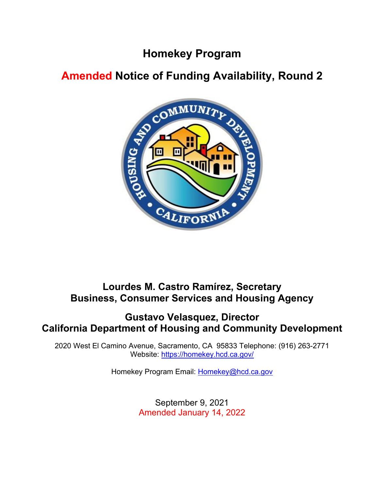# **Homekey Program**

# **Amended Notice of Funding Availability, Round 2**



## **Lourdes M. Castro Ramírez, Secretary Business, Consumer Services and Housing Agency**

## **Gustavo Velasquez, Director California Department of Housing and Community Development**

2020 West El Camino Avenue, Sacramento, CA 95833 Telephone: (916) 263-2771 Website:<https://homekey.hcd.ca.gov/>

Homekey Program Email: [Homekey@hcd.ca.gov](mailto:Homekey@hcd.ca.gov)

September 9, 2021 Amended January 14, 2022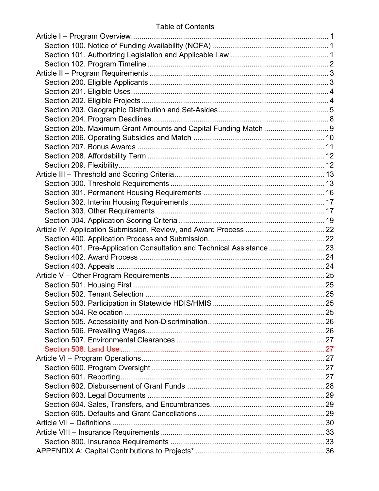| Section 205. Maximum Grant Amounts and Capital Funding Match  9       |  |
|-----------------------------------------------------------------------|--|
|                                                                       |  |
|                                                                       |  |
|                                                                       |  |
|                                                                       |  |
|                                                                       |  |
|                                                                       |  |
|                                                                       |  |
|                                                                       |  |
|                                                                       |  |
|                                                                       |  |
|                                                                       |  |
|                                                                       |  |
| Section 401. Pre-Application Consultation and Technical Assistance 23 |  |
|                                                                       |  |
|                                                                       |  |
|                                                                       |  |
|                                                                       |  |
|                                                                       |  |
|                                                                       |  |
|                                                                       |  |
|                                                                       |  |
|                                                                       |  |
|                                                                       |  |
|                                                                       |  |
|                                                                       |  |
|                                                                       |  |
|                                                                       |  |
|                                                                       |  |
|                                                                       |  |
|                                                                       |  |
|                                                                       |  |
|                                                                       |  |
|                                                                       |  |
|                                                                       |  |
|                                                                       |  |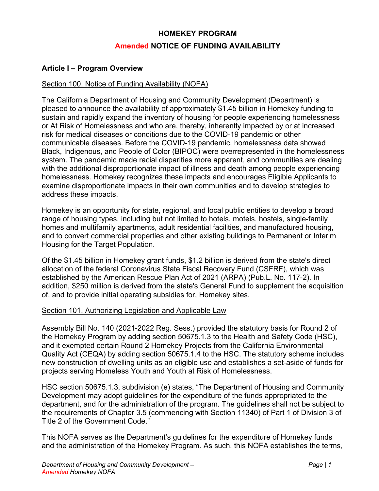## **HOMEKEY PROGRAM Amended NOTICE OF FUNDING AVAILABILITY**

#### <span id="page-3-0"></span>**Article I – Program Overview**

#### <span id="page-3-1"></span>Section 100. Notice of Funding Availability (NOFA)

The California Department of Housing and Community Development (Department) is pleased to announce the availability of approximately \$1.45 billion in Homekey funding to sustain and rapidly expand the inventory of housing for people experiencing homelessness or At Risk of Homelessness and who are, thereby, inherently impacted by or at increased risk for medical diseases or conditions due to the COVID-19 pandemic or other communicable diseases. Before the COVID-19 pandemic, homelessness data showed Black, Indigenous, and People of Color (BIPOC) were overrepresented in the homelessness system. The pandemic made racial disparities more apparent, and communities are dealing with the additional disproportionate impact of illness and death among people experiencing homelessness. Homekey recognizes these impacts and encourages Eligible Applicants to examine disproportionate impacts in their own communities and to develop strategies to address these impacts.

Homekey is an opportunity for state, regional, and local public entities to develop a broad range of housing types, including but not limited to hotels, motels, hostels, single-family homes and multifamily apartments, adult residential facilities, and manufactured housing, and to convert commercial properties and other existing buildings to Permanent or Interim Housing for the Target Population.

Of the \$1.45 billion in Homekey grant funds, \$1.2 billion is derived from the state's direct allocation of the federal Coronavirus State Fiscal Recovery Fund (CSFRF), which was established by the American Rescue Plan Act of 2021 (ARPA) (Pub.L. No. 117-2). In addition, \$250 million is derived from the state's General Fund to supplement the acquisition of, and to provide initial operating subsidies for, Homekey sites.

#### <span id="page-3-2"></span>Section 101. Authorizing Legislation and Applicable Law

Assembly Bill No. 140 (2021-2022 Reg. Sess.) provided the statutory basis for Round 2 of the Homekey Program by adding section 50675.1.3 to the Health and Safety Code (HSC), and it exempted certain Round 2 Homekey Projects from the California Environmental Quality Act (CEQA) by adding section 50675.1.4 to the HSC. The statutory scheme includes new construction of dwelling units as an eligible use and establishes a set-aside of funds for projects serving Homeless Youth and Youth at Risk of Homelessness.

HSC section 50675.1.3, subdivision (e) states, "The Department of Housing and Community Development may adopt guidelines for the expenditure of the funds appropriated to the department, and for the administration of the program. The guidelines shall not be subject to the requirements of Chapter 3.5 (commencing with Section 11340) of Part 1 of Division 3 of Title 2 of the Government Code."

This NOFA serves as the Department's guidelines for the expenditure of Homekey funds and the administration of the Homekey Program. As such, this NOFA establishes the terms,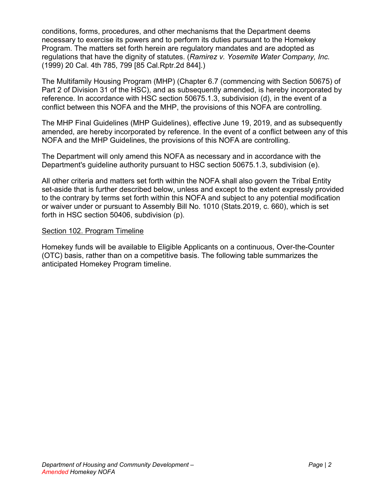conditions, forms, procedures, and other mechanisms that the Department deems necessary to exercise its powers and to perform its duties pursuant to the Homekey Program. The matters set forth herein are regulatory mandates and are adopted as regulations that have the dignity of statutes. (*Ramirez v. Yosemite Water Company, Inc.*  (1999) 20 Cal. 4th 785, 799 [85 Cal.Rptr.2d 844].)

The Multifamily Housing Program (MHP) (Chapter 6.7 (commencing with Section 50675) of Part 2 of Division 31 of the HSC), and as subsequently amended, is hereby incorporated by reference. In accordance with HSC section 50675.1.3, subdivision (d), in the event of a conflict between this NOFA and the MHP, the provisions of this NOFA are controlling.

The MHP Final Guidelines (MHP Guidelines), effective June 19, 2019, and as subsequently amended, are hereby incorporated by reference. In the event of a conflict between any of this NOFA and the MHP Guidelines, the provisions of this NOFA are controlling.

The Department will only amend this NOFA as necessary and in accordance with the Department's guideline authority pursuant to HSC section 50675.1.3, subdivision (e).

All other criteria and matters set forth within the NOFA shall also govern the Tribal Entity set-aside that is further described below, unless and except to the extent expressly provided to the contrary by terms set forth within this NOFA and subject to any potential modification or waiver under or pursuant to Assembly Bill No. 1010 (Stats.2019, c. 660), which is set forth in HSC section 50406, subdivision (p).

#### <span id="page-4-0"></span>Section 102. Program Timeline

Homekey funds will be available to Eligible Applicants on a continuous, Over-the-Counter (OTC) basis, rather than on a competitive basis. The following table summarizes the anticipated Homekey Program timeline.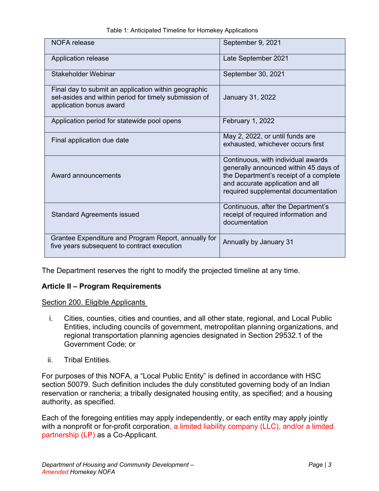| <b>NOFA</b> release                                                                                                                      | September 9, 2021                                                                                                                                                                                |
|------------------------------------------------------------------------------------------------------------------------------------------|--------------------------------------------------------------------------------------------------------------------------------------------------------------------------------------------------|
| Application release                                                                                                                      | Late September 2021                                                                                                                                                                              |
| Stakeholder Webinar                                                                                                                      | September 30, 2021                                                                                                                                                                               |
| Final day to submit an application within geographic<br>set-asides and within period for timely submission of<br>application bonus award | January 31, 2022                                                                                                                                                                                 |
| Application period for statewide pool opens                                                                                              | February 1, 2022                                                                                                                                                                                 |
| Final application due date                                                                                                               | May 2, 2022, or until funds are<br>exhausted, whichever occurs first                                                                                                                             |
| Award announcements                                                                                                                      | Continuous, with individual awards<br>generally announced within 45 days of<br>the Department's receipt of a complete<br>and accurate application and all<br>required supplemental documentation |
| <b>Standard Agreements issued</b>                                                                                                        | Continuous, after the Department's<br>receipt of required information and<br>documentation                                                                                                       |
| Grantee Expenditure and Program Report, annually for<br>five years subsequent to contract execution                                      | Annually by January 31                                                                                                                                                                           |

Table 1: Anticipated Timeline for Homekey Applications

The Department reserves the right to modify the projected timeline at any time.

## <span id="page-5-0"></span>**Article II – Program Requirements**

<span id="page-5-1"></span>Section 200. Eligible Applicants

- i. Cities, counties, cities and counties, and all other state, regional, and Local Public Entities, including councils of government, metropolitan planning organizations, and regional transportation planning agencies designated in Section 29532.1 of the Government Code; or
- ii. Tribal Entities.

For purposes of this NOFA, a "Local Public Entity" is defined in accordance with HSC section 50079. Such definition includes the duly constituted governing body of an Indian reservation or rancheria; a tribally designated housing entity, as specified; and a housing authority, as specified.

Each of the foregoing entities may apply independently, or each entity may apply jointly with a nonprofit or for-profit corporation, a limited liability company (LLC), and/or a limited partnership (LP) as a Co-Applicant.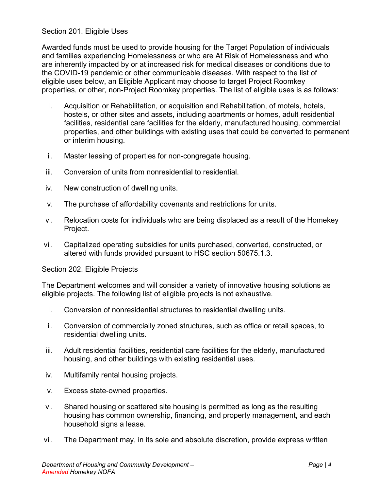#### <span id="page-6-0"></span>Section 201. Eligible Uses

Awarded funds must be used to provide housing for the Target Population of individuals and families experiencing Homelessness or who are At Risk of Homelessness and who are inherently impacted by or at increased risk for medical diseases or conditions due to the COVID-19 pandemic or other communicable diseases. With respect to the list of eligible uses below, an Eligible Applicant may choose to target Project Roomkey properties, or other, non-Project Roomkey properties. The list of eligible uses is as follows:

- i. Acquisition or Rehabilitation, or acquisition and Rehabilitation, of motels, hotels, hostels, or other sites and assets, including apartments or homes, adult residential facilities, residential care facilities for the elderly, manufactured housing, commercial properties, and other buildings with existing uses that could be converted to permanent or interim housing.
- ii. Master leasing of properties for non-congregate housing.
- iii. Conversion of units from nonresidential to residential
- iv. New construction of dwelling units.
- v. The purchase of affordability covenants and restrictions for units.
- vi. Relocation costs for individuals who are being displaced as a result of the Homekey Project.
- vii. Capitalized operating subsidies for units purchased, converted, constructed, or altered with funds provided pursuant to HSC section 50675.1.3.

#### <span id="page-6-1"></span>Section 202. Eligible Projects

The Department welcomes and will consider a variety of innovative housing solutions as eligible projects. The following list of eligible projects is not exhaustive.

- i. Conversion of nonresidential structures to residential dwelling units.
- ii. Conversion of commercially zoned structures, such as office or retail spaces, to residential dwelling units.
- iii. Adult residential facilities, residential care facilities for the elderly, manufactured housing, and other buildings with existing residential uses.
- iv. Multifamily rental housing projects.
- v. Excess state-owned properties.
- vi. Shared housing or scattered site housing is permitted as long as the resulting housing has common ownership, financing, and property management, and each household signs a lease.
- vii. The Department may, in its sole and absolute discretion, provide express written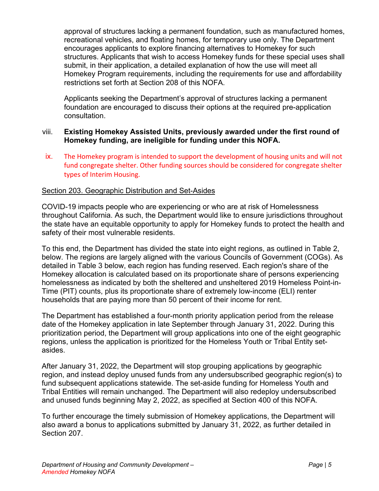approval of structures lacking a permanent foundation, such as manufactured homes, recreational vehicles, and floating homes, for temporary use only. The Department encourages applicants to explore financing alternatives to Homekey for such structures. Applicants that wish to access Homekey funds for these special uses shall submit, in their application, a detailed explanation of how the use will meet all Homekey Program requirements, including the requirements for use and affordability restrictions set forth at Section 208 of this NOFA.

Applicants seeking the Department's approval of structures lacking a permanent foundation are encouraged to discuss their options at the required pre-application consultation.

#### viii. **Existing Homekey Assisted Units, previously awarded under the first round of Homekey funding, are ineligible for funding under this NOFA.**

ix. The Homekey program is intended to support the development of housing units and will not fund congregate shelter. Other funding sources should be considered for congregate shelter types of Interim Housing.

#### <span id="page-7-0"></span>Section 203. Geographic Distribution and Set-Asides

COVID-19 impacts people who are experiencing or who are at risk of Homelessness throughout California. As such, the Department would like to ensure jurisdictions throughout the state have an equitable opportunity to apply for Homekey funds to protect the health and safety of their most vulnerable residents.

To this end, the Department has divided the state into eight regions, as outlined in Table 2, below. The regions are largely aligned with the various Councils of Government (COGs). As detailed in Table 3 below, each region has funding reserved. Each region's share of the Homekey allocation is calculated based on its proportionate share of persons experiencing homelessness as indicated by both the sheltered and unsheltered 2019 Homeless Point-in-Time (PIT) counts, plus its proportionate share of extremely low-income (ELI) renter households that are paying more than 50 percent of their income for rent.

The Department has established a four-month priority application period from the release date of the Homekey application in late September through January 31, 2022. During this prioritization period, the Department will group applications into one of the eight geographic regions, unless the application is prioritized for the Homeless Youth or Tribal Entity setasides.

After January 31, 2022, the Department will stop grouping applications by geographic region, and instead deploy unused funds from any undersubscribed geographic region(s) to fund subsequent applications statewide. The set-aside funding for Homeless Youth and Tribal Entities will remain unchanged. The Department will also redeploy undersubscribed and unused funds beginning May 2, 2022, as specified at Section 400 of this NOFA.

To further encourage the timely submission of Homekey applications, the Department will also award a bonus to applications submitted by January 31, 2022, as further detailed in Section 207.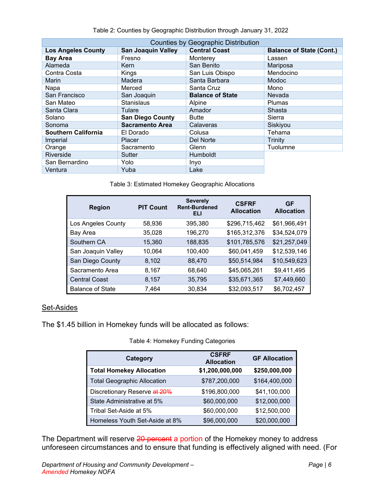| <b>Counties by Geographic Distribution</b> |                           |                         |                                 |  |
|--------------------------------------------|---------------------------|-------------------------|---------------------------------|--|
| <b>Los Angeles County</b>                  | <b>San Joaquin Valley</b> | <b>Central Coast</b>    | <b>Balance of State (Cont.)</b> |  |
| <b>Bay Area</b>                            | Fresno                    | Monterey                | Lassen                          |  |
| Alameda                                    | <b>Kern</b>               | San Benito              | Mariposa                        |  |
| Contra Costa                               | Kings                     | San Luis Obispo         | Mendocino                       |  |
| Marin                                      | Madera                    | Santa Barbara           | Modoc                           |  |
| Napa                                       | Merced                    | Santa Cruz              | Mono                            |  |
| San Francisco                              | San Joaquin               | <b>Balance of State</b> | Nevada                          |  |
| San Mateo                                  | <b>Stanislaus</b>         | Alpine                  | <b>Plumas</b>                   |  |
| Santa Clara                                | Tulare                    | Amador                  | Shasta                          |  |
| Solano                                     | <b>San Diego County</b>   | <b>Butte</b>            | Sierra                          |  |
| Sonoma                                     | <b>Sacramento Area</b>    | Calaveras               | Siskiyou                        |  |
| <b>Southern California</b>                 | El Dorado                 | Colusa                  | Tehama                          |  |
| Imperial                                   | <b>Placer</b>             | Del Norte               | <b>Trinity</b>                  |  |
| Orange                                     | Sacramento                | Glenn                   | Tuolumne                        |  |
| Riverside                                  | Sutter                    | <b>Humboldt</b>         |                                 |  |
| San Bernardino                             | Yolo                      | Inyo                    |                                 |  |
| Ventura                                    | Yuba                      | Lake                    |                                 |  |

Table 2: Counties by Geographic Distribution through January 31, 2022

Table 3: Estimated Homekey Geographic Allocations

| <b>Region</b>           | <b>PIT Count</b> | <b>Severely</b><br><b>Rent-Burdened</b><br>ELI | <b>CSFRF</b><br><b>Allocation</b> | <b>GF</b><br><b>Allocation</b> |
|-------------------------|------------------|------------------------------------------------|-----------------------------------|--------------------------------|
| Los Angeles County      | 58,936           | 395,380                                        | \$296,715,462                     | \$61,966,491                   |
| Bay Area                | 35,028           | 196,270                                        | \$165,312,376                     | \$34,524,079                   |
| Southern CA             | 15,360           | 188,835                                        | \$101,785,576                     | \$21,257,049                   |
| San Joaquin Valley      | 10,064           | 100,400                                        | \$60,041,459                      | \$12,539,146                   |
| San Diego County        | 8,102            | 88,470                                         | \$50,514,984                      | \$10,549,623                   |
| Sacramento Area         | 8,167            | 68,640                                         | \$45,065,261                      | \$9,411,495                    |
| <b>Central Coast</b>    | 8,157            | 35,795                                         | \$35,671,365                      | \$7,449,660                    |
| <b>Balance of State</b> | 7,464            | 30,834                                         | \$32,093,517                      | \$6,702,457                    |

### Set-Asides

The \$1.45 billion in Homekey funds will be allocated as follows:

Table 4: Homekey Funding Categories

| Category                           | <b>CSFRF</b><br><b>Allocation</b> | <b>GF Allocation</b> |
|------------------------------------|-----------------------------------|----------------------|
| <b>Total Homekey Allocation</b>    | \$1,200,000,000                   | \$250,000,000        |
| <b>Total Geographic Allocation</b> | \$787,200,000                     | \$164,400,000        |
| Discretionary Reserve at 20%       | \$196,800,000                     | \$41,100,000         |
| State Administrative at 5%         | \$60,000,000                      | \$12,000,000         |
| Tribal Set-Aside at 5%             | \$60,000,000                      | \$12,500,000         |
| Homeless Youth Set-Aside at 8%     | \$96,000,000                      | \$20,000,000         |

The Department will reserve 20 percent a portion of the Homekey money to address unforeseen circumstances and to ensure that funding is effectively aligned with need. (For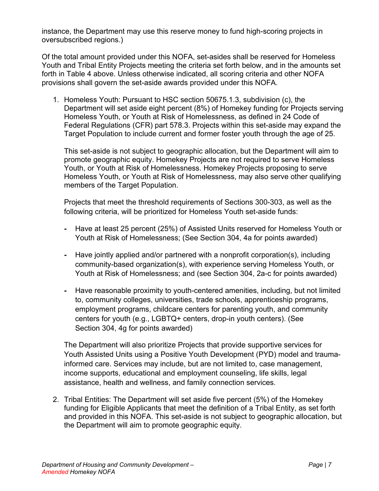instance, the Department may use this reserve money to fund high-scoring projects in oversubscribed regions.)

Of the total amount provided under this NOFA, set-asides shall be reserved for Homeless Youth and Tribal Entity Projects meeting the criteria set forth below, and in the amounts set forth in Table 4 above. Unless otherwise indicated, all scoring criteria and other NOFA provisions shall govern the set-aside awards provided under this NOFA.

1. Homeless Youth: Pursuant to HSC section 50675.1.3, subdivision (c), the Department will set aside eight percent (8%) of Homekey funding for Projects serving Homeless Youth, or Youth at Risk of Homelessness, as defined in 24 Code of Federal Regulations (CFR) part 578.3. Projects within this set-aside may expand the Target Population to include current and former foster youth through the age of 25.

This set-aside is not subject to geographic allocation, but the Department will aim to promote geographic equity. Homekey Projects are not required to serve Homeless Youth, or Youth at Risk of Homelessness. Homekey Projects proposing to serve Homeless Youth, or Youth at Risk of Homelessness, may also serve other qualifying members of the Target Population.

Projects that meet the threshold requirements of Sections 300-303, as well as the following criteria, will be prioritized for Homeless Youth set-aside funds:

- **-** Have at least 25 percent (25%) of Assisted Units reserved for Homeless Youth or Youth at Risk of Homelessness; (See Section 304, 4a for points awarded)
- **-** Have jointly applied and/or partnered with a nonprofit corporation(s), including community-based organization(s), with experience serving Homeless Youth, or Youth at Risk of Homelessness; and (see Section 304, 2a-c for points awarded)
- **-** Have reasonable proximity to youth-centered amenities, including, but not limited to, community colleges, universities, trade schools, apprenticeship programs, employment programs, childcare centers for parenting youth, and community centers for youth (e.g., LGBTQ+ centers, drop-in youth centers). (See Section 304, 4g for points awarded)

The Department will also prioritize Projects that provide supportive services for Youth Assisted Units using a Positive Youth Development (PYD) model and traumainformed care. Services may include, but are not limited to, case management, income supports, educational and employment counseling, life skills, legal assistance, health and wellness, and family connection services.

2. Tribal Entities: The Department will set aside five percent (5%) of the Homekey funding for Eligible Applicants that meet the definition of a Tribal Entity, as set forth and provided in this NOFA. This set-aside is not subject to geographic allocation, but the Department will aim to promote geographic equity.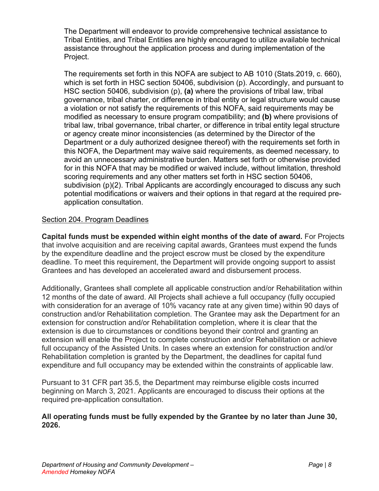The Department will endeavor to provide comprehensive technical assistance to Tribal Entities, and Tribal Entities are highly encouraged to utilize available technical assistance throughout the application process and during implementation of the Project.

The requirements set forth in this NOFA are subject to AB 1010 (Stats.2019, c. 660), which is set forth in HSC section 50406, subdivision (p). Accordingly, and pursuant to HSC section 50406, subdivision (p), **(a)** where the provisions of tribal law, tribal governance, tribal charter, or difference in tribal entity or legal structure would cause a violation or not satisfy the requirements of this NOFA, said requirements may be modified as necessary to ensure program compatibility; and **(b)** where provisions of tribal law, tribal governance, tribal charter, or difference in tribal entity legal structure or agency create minor inconsistencies (as determined by the Director of the Department or a duly authorized designee thereof) with the requirements set forth in this NOFA, the Department may waive said requirements, as deemed necessary, to avoid an unnecessary administrative burden. Matters set forth or otherwise provided for in this NOFA that may be modified or waived include, without limitation, threshold scoring requirements and any other matters set forth in HSC section 50406, subdivision (p)(2). Tribal Applicants are accordingly encouraged to discuss any such potential modifications or waivers and their options in that regard at the required preapplication consultation.

#### <span id="page-10-0"></span>Section 204. Program Deadlines

**Capital funds must be expended within eight months of the date of award.** For Projects that involve acquisition and are receiving capital awards, Grantees must expend the funds by the expenditure deadline and the project escrow must be closed by the expenditure deadline. To meet this requirement, the Department will provide ongoing support to assist Grantees and has developed an accelerated award and disbursement process.

Additionally, Grantees shall complete all applicable construction and/or Rehabilitation within 12 months of the date of award. All Projects shall achieve a full occupancy (fully occupied with consideration for an average of 10% vacancy rate at any given time) within 90 days of construction and/or Rehabilitation completion. The Grantee may ask the Department for an extension for construction and/or Rehabilitation completion, where it is clear that the extension is due to circumstances or conditions beyond their control and granting an extension will enable the Project to complete construction and/or Rehabilitation or achieve full occupancy of the Assisted Units. In cases where an extension for construction and/or Rehabilitation completion is granted by the Department, the deadlines for capital fund expenditure and full occupancy may be extended within the constraints of applicable law.

Pursuant to 31 CFR part 35.5, the Department may reimburse eligible costs incurred beginning on March 3, 2021. Applicants are encouraged to discuss their options at the required pre-application consultation.

#### **All operating funds must be fully expended by the Grantee by no later than June 30, 2026.**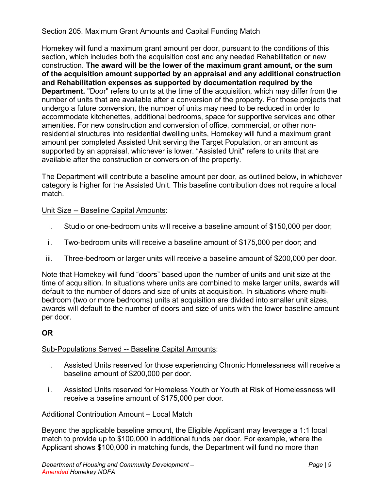### <span id="page-11-0"></span>Section 205. Maximum Grant Amounts and Capital Funding Match

Homekey will fund a maximum grant amount per door, pursuant to the conditions of this section, which includes both the acquisition cost and any needed Rehabilitation or new construction. **The award will be the lower of the maximum grant amount, or the sum of the acquisition amount supported by an appraisal and any additional construction and Rehabilitation expenses as supported by documentation required by the Department.** "Door" refers to units at the time of the acquisition, which may differ from the number of units that are available after a conversion of the property. For those projects that undergo a future conversion, the number of units may need to be reduced in order to accommodate kitchenettes, additional bedrooms, space for supportive services and other amenities. For new construction and conversion of office, commercial, or other nonresidential structures into residential dwelling units, Homekey will fund a maximum grant amount per completed Assisted Unit serving the Target Population, or an amount as supported by an appraisal, whichever is lower. "Assisted Unit" refers to units that are available after the construction or conversion of the property.

The Department will contribute a baseline amount per door, as outlined below, in whichever category is higher for the Assisted Unit. This baseline contribution does not require a local match.

#### Unit Size -- Baseline Capital Amounts:

- i. Studio or one-bedroom units will receive a baseline amount of \$150,000 per door;
- ii. Two-bedroom units will receive a baseline amount of \$175,000 per door; and
- iii. Three-bedroom or larger units will receive a baseline amount of \$200,000 per door.

Note that Homekey will fund "doors" based upon the number of units and unit size at the time of acquisition. In situations where units are combined to make larger units, awards will default to the number of doors and size of units at acquisition. In situations where multibedroom (two or more bedrooms) units at acquisition are divided into smaller unit sizes, awards will default to the number of doors and size of units with the lower baseline amount per door.

## **OR**

#### Sub-Populations Served -- Baseline Capital Amounts:

- i. Assisted Units reserved for those experiencing Chronic Homelessness will receive a baseline amount of \$200,000 per door.
- ii. Assisted Units reserved for Homeless Youth or Youth at Risk of Homelessness will receive a baseline amount of \$175,000 per door.

#### Additional Contribution Amount – Local Match

Beyond the applicable baseline amount, the Eligible Applicant may leverage a 1:1 local match to provide up to \$100,000 in additional funds per door. For example, where the Applicant shows \$100,000 in matching funds, the Department will fund no more than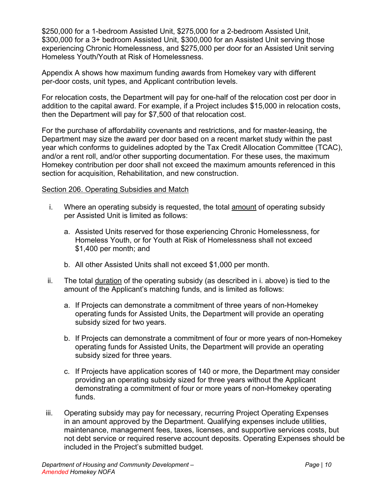\$250,000 for a 1-bedroom Assisted Unit, \$275,000 for a 2-bedroom Assisted Unit, \$300,000 for a 3+ bedroom Assisted Unit, \$300,000 for an Assisted Unit serving those experiencing Chronic Homelessness, and \$275,000 per door for an Assisted Unit serving Homeless Youth/Youth at Risk of Homelessness.

Appendix A shows how maximum funding awards from Homekey vary with different per-door costs, unit types, and Applicant contribution levels.

For relocation costs, the Department will pay for one-half of the relocation cost per door in addition to the capital award. For example, if a Project includes \$15,000 in relocation costs, then the Department will pay for \$7,500 of that relocation cost.

For the purchase of affordability covenants and restrictions, and for master-leasing, the Department may size the award per door based on a recent market study within the past year which conforms to guidelines adopted by the Tax Credit Allocation Committee (TCAC), and/or a rent roll, and/or other supporting documentation. For these uses, the maximum Homekey contribution per door shall not exceed the maximum amounts referenced in this section for acquisition, Rehabilitation, and new construction.

#### <span id="page-12-0"></span>Section 206. Operating Subsidies and Match

- i. Where an operating subsidy is requested, the total amount of operating subsidy per Assisted Unit is limited as follows:
	- a. Assisted Units reserved for those experiencing Chronic Homelessness, for Homeless Youth, or for Youth at Risk of Homelessness shall not exceed \$1,400 per month; and
	- b. All other Assisted Units shall not exceed \$1,000 per month.
- ii. The total duration of the operating subsidy (as described in i. above) is tied to the amount of the Applicant's matching funds, and is limited as follows:
	- a. If Projects can demonstrate a commitment of three years of non-Homekey operating funds for Assisted Units, the Department will provide an operating subsidy sized for two years.
	- b. If Projects can demonstrate a commitment of four or more years of non-Homekey operating funds for Assisted Units, the Department will provide an operating subsidy sized for three years.
	- c. If Projects have application scores of 140 or more, the Department may consider providing an operating subsidy sized for three years without the Applicant demonstrating a commitment of four or more years of non-Homekey operating funds.
- iii. Operating subsidy may pay for necessary, recurring Project Operating Expenses in an amount approved by the Department. Qualifying expenses include utilities, maintenance, management fees, taxes, licenses, and supportive services costs, but not debt service or required reserve account deposits. Operating Expenses should be included in the Project's submitted budget.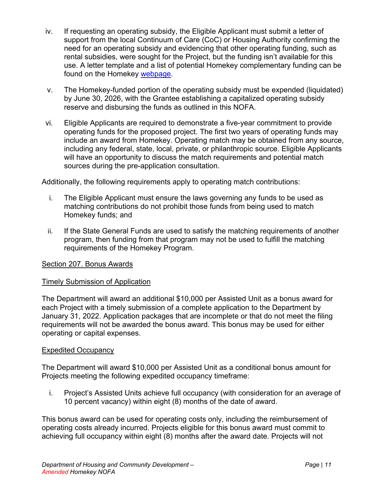- iv. If requesting an operating subsidy, the Eligible Applicant must submit a letter of support from the local Continuum of Care (CoC) or Housing Authority confirming the need for an operating subsidy and evidencing that other operating funding, such as rental subsidies, were sought for the Project, but the funding isn't available for this use. A letter template and a list of potential Homekey complementary funding can be found on the Homekey [webpage.](https://homekey.hcd.ca.gov/)
- v. The Homekey-funded portion of the operating subsidy must be expended (liquidated) by June 30, 2026, with the Grantee establishing a capitalized operating subsidy reserve and disbursing the funds as outlined in this NOFA.
- vi. Eligible Applicants are required to demonstrate a five-year commitment to provide operating funds for the proposed project. The first two years of operating funds may include an award from Homekey. Operating match may be obtained from any source, including any federal, state, local, private, or philanthropic source. Eligible Applicants will have an opportunity to discuss the match requirements and potential match sources during the pre-application consultation.

Additionally, the following requirements apply to operating match contributions:

- i. The Eligible Applicant must ensure the laws governing any funds to be used as matching contributions do not prohibit those funds from being used to match Homekey funds; and
- ii. If the State General Funds are used to satisfy the matching requirements of another program, then funding from that program may not be used to fulfill the matching requirements of the Homekey Program.

## <span id="page-13-0"></span>Section 207. Bonus Awards

#### Timely Submission of Application

The Department will award an additional \$10,000 per Assisted Unit as a bonus award for each Project with a timely submission of a complete application to the Department by January 31, 2022. Application packages that are incomplete or that do not meet the filing requirements will not be awarded the bonus award. This bonus may be used for either operating or capital expenses.

## **Expedited Occupancy**

The Department will award \$10,000 per Assisted Unit as a conditional bonus amount for Projects meeting the following expedited occupancy timeframe:

i. Project's Assisted Units achieve full occupancy (with consideration for an average of 10 percent vacancy) within eight (8) months of the date of award.

This bonus award can be used for operating costs only, including the reimbursement of operating costs already incurred. Projects eligible for this bonus award must commit to achieving full occupancy within eight (8) months after the award date. Projects will not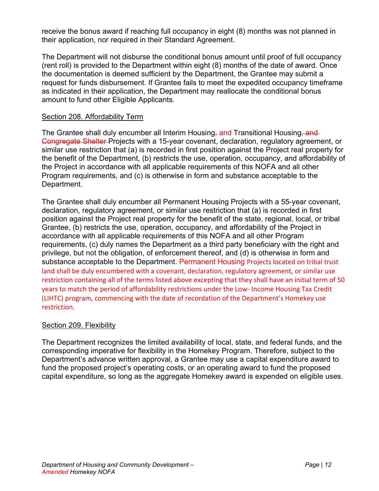receive the bonus award if reaching full occupancy in eight (8) months was not planned in their application, nor required in their Standard Agreement.

The Department will not disburse the conditional bonus amount until proof of full occupancy (rent roll) is provided to the Department within eight (8) months of the date of award. Once the documentation is deemed sufficient by the Department, the Grantee may submit a request for funds disbursement. If Grantee fails to meet the expedited occupancy timeframe as indicated in their application, the Department may reallocate the conditional bonus amount to fund other Eligible Applicants.

#### <span id="page-14-0"></span>Section 208. Affordability Term

The Grantee shall duly encumber all Interim Housing, and Transitional Housing, and Congregate Shelter Projects with a 15-year covenant, declaration, regulatory agreement, or similar use restriction that (a) is recorded in first position against the Project real property for the benefit of the Department, (b) restricts the use, operation, occupancy, and affordability of the Project in accordance with all applicable requirements of this NOFA and all other Program requirements, and (c) is otherwise in form and substance acceptable to the Department.

The Grantee shall duly encumber all Permanent Housing Projects with a 55-year covenant, declaration, regulatory agreement, or similar use restriction that (a) is recorded in first position against the Project real property for the benefit of the state, regional, local, or tribal Grantee, (b) restricts the use, operation, occupancy, and affordability of the Project in accordance with all applicable requirements of this NOFA and all other Program requirements, (c) duly names the Department as a third party beneficiary with the right and privilege, but not the obligation, of enforcement thereof, and (d) is otherwise in form and substance acceptable to the Department. Permanent Housing Projects located on tribal trust land shall be duly encumbered with a covenant, declaration, regulatory agreement, or similar use restriction containing all of the terms listed above excepting that they shall have an initial term of 50 years to match the period of affordability restrictions under the Low- Income Housing Tax Credit (LIHTC) program, commencing with the date of recordation of the Department's Homekey use restriction.

#### <span id="page-14-1"></span>Section 209. Flexibility

<span id="page-14-2"></span>The Department recognizes the limited availability of local, state, and federal funds, and the corresponding imperative for flexibility in the Homekey Program. Therefore, subject to the Department's advance written approval, a Grantee may use a capital expenditure award to fund the proposed project's operating costs, or an operating award to fund the proposed capital expenditure, so long as the aggregate Homekey award is expended on eligible uses.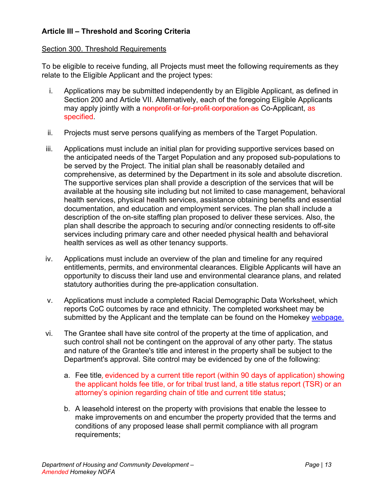## **Article III – Threshold and Scoring Criteria**

#### <span id="page-15-0"></span>Section 300. Threshold Requirements

To be eligible to receive funding, all Projects must meet the following requirements as they relate to the Eligible Applicant and the project types:

- i. Applications may be submitted independently by an Eligible Applicant, as defined in Section 200 and Article VII. Alternatively, each of the foregoing Eligible Applicants may apply jointly with a <del>nonprofit or for-profit corporation as</del> Co-Applicant, as specified.
- ii. Projects must serve persons qualifying as members of the Target Population.
- iii. Applications must include an initial plan for providing supportive services based on the anticipated needs of the Target Population and any proposed sub-populations to be served by the Project. The initial plan shall be reasonably detailed and comprehensive, as determined by the Department in its sole and absolute discretion. The supportive services plan shall provide a description of the services that will be available at the housing site including but not limited to case management, behavioral health services, physical health services, assistance obtaining benefits and essential documentation, and education and employment services. The plan shall include a description of the on-site staffing plan proposed to deliver these services. Also, the plan shall describe the approach to securing and/or connecting residents to off-site services including primary care and other needed physical health and behavioral health services as well as other tenancy supports.
- iv. Applications must include an overview of the plan and timeline for any required entitlements, permits, and environmental clearances. Eligible Applicants will have an opportunity to discuss their land use and environmental clearance plans, and related statutory authorities during the pre-application consultation.
- v. Applications must include a completed Racial Demographic Data Worksheet, which reports CoC outcomes by race and ethnicity. The completed worksheet may be submitted by the Applicant and the template can be found on the Homekey [webpage.](https://homekey.hcd.ca.gov/)
- vi. The Grantee shall have site control of the property at the time of application, and such control shall not be contingent on the approval of any other party. The status and nature of the Grantee's title and interest in the property shall be subject to the Department's approval. Site control may be evidenced by one of the following:
	- a. Fee title, evidenced by a current title report (within 90 days of application) showing the applicant holds fee title, or for tribal trust land, a title status report (TSR) or an attorney's opinion regarding chain of title and current title status;
	- b. A leasehold interest on the property with provisions that enable the lessee to make improvements on and encumber the property provided that the terms and conditions of any proposed lease shall permit compliance with all program requirements;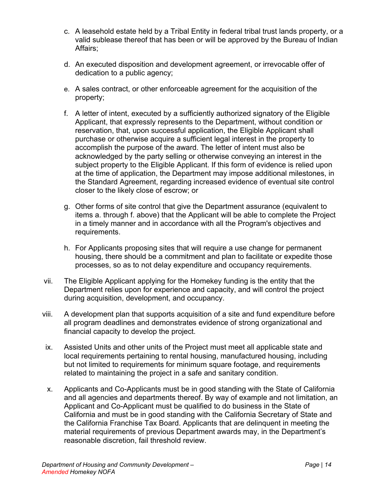- c. A leasehold estate held by a Tribal Entity in federal tribal trust lands property, or a valid sublease thereof that has been or will be approved by the Bureau of Indian Affairs;
- d. An executed disposition and development agreement, or irrevocable offer of dedication to a public agency;
- e. A sales contract, or other enforceable agreement for the acquisition of the property;
- f. A letter of intent, executed by a sufficiently authorized signatory of the Eligible Applicant, that expressly represents to the Department, without condition or reservation, that, upon successful application, the Eligible Applicant shall purchase or otherwise acquire a sufficient legal interest in the property to accomplish the purpose of the award. The letter of intent must also be acknowledged by the party selling or otherwise conveying an interest in the subject property to the Eligible Applicant. If this form of evidence is relied upon at the time of application, the Department may impose additional milestones, in the Standard Agreement, regarding increased evidence of eventual site control closer to the likely close of escrow; or
- g. Other forms of site control that give the Department assurance (equivalent to items a. through f. above) that the Applicant will be able to complete the Project in a timely manner and in accordance with all the Program's objectives and requirements.
- h. For Applicants proposing sites that will require a use change for permanent housing, there should be a commitment and plan to facilitate or expedite those processes, so as to not delay expenditure and occupancy requirements.
- vii. The Eligible Applicant applying for the Homekey funding is the entity that the Department relies upon for experience and capacity, and will control the project during acquisition, development, and occupancy.
- viii. A development plan that supports acquisition of a site and fund expenditure before all program deadlines and demonstrates evidence of strong organizational and financial capacity to develop the project.
- ix. Assisted Units and other units of the Project must meet all applicable state and local requirements pertaining to rental housing, manufactured housing, including but not limited to requirements for minimum square footage, and requirements related to maintaining the project in a safe and sanitary condition.
- x. Applicants and Co-Applicants must be in good standing with the State of California and all agencies and departments thereof. By way of example and not limitation, an Applicant and Co-Applicant must be qualified to do business in the State of California and must be in good standing with the California Secretary of State and the California Franchise Tax Board. Applicants that are delinquent in meeting the material requirements of previous Department awards may, in the Department's reasonable discretion, fail threshold review.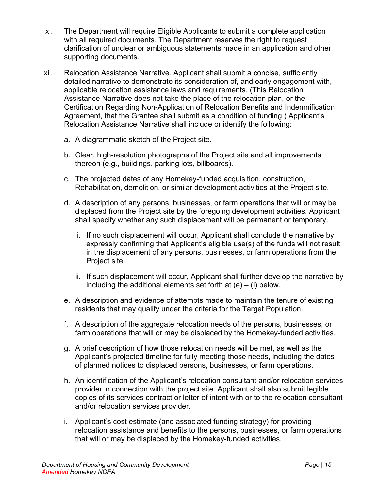- xi. The Department will require Eligible Applicants to submit a complete application with all required documents. The Department reserves the right to request clarification of unclear or ambiguous statements made in an application and other supporting documents.
- xii. Relocation Assistance Narrative. Applicant shall submit a concise, sufficiently detailed narrative to demonstrate its consideration of, and early engagement with, applicable relocation assistance laws and requirements. (This Relocation Assistance Narrative does not take the place of the relocation plan, or the Certification Regarding Non-Application of Relocation Benefits and Indemnification Agreement, that the Grantee shall submit as a condition of funding.) Applicant's Relocation Assistance Narrative shall include or identify the following:
	- a. A diagrammatic sketch of the Project site.
	- b. Clear, high-resolution photographs of the Project site and all improvements thereon (e.g., buildings, parking lots, billboards).
	- c. The projected dates of any Homekey-funded acquisition, construction, Rehabilitation, demolition, or similar development activities at the Project site.
	- d. A description of any persons, businesses, or farm operations that will or may be displaced from the Project site by the foregoing development activities. Applicant shall specify whether any such displacement will be permanent or temporary.
		- i. If no such displacement will occur, Applicant shall conclude the narrative by expressly confirming that Applicant's eligible use(s) of the funds will not result in the displacement of any persons, businesses, or farm operations from the Project site.
		- ii. If such displacement will occur, Applicant shall further develop the narrative by including the additional elements set forth at  $(e) - i$ ) below.
	- e. A description and evidence of attempts made to maintain the tenure of existing residents that may qualify under the criteria for the Target Population.
	- f. A description of the aggregate relocation needs of the persons, businesses, or farm operations that will or may be displaced by the Homekey-funded activities.
	- g. A brief description of how those relocation needs will be met, as well as the Applicant's projected timeline for fully meeting those needs, including the dates of planned notices to displaced persons, businesses, or farm operations.
	- h. An identification of the Applicant's relocation consultant and/or relocation services provider in connection with the project site. Applicant shall also submit legible copies of its services contract or letter of intent with or to the relocation consultant and/or relocation services provider.
	- i. Applicant's cost estimate (and associated funding strategy) for providing relocation assistance and benefits to the persons, businesses, or farm operations that will or may be displaced by the Homekey-funded activities.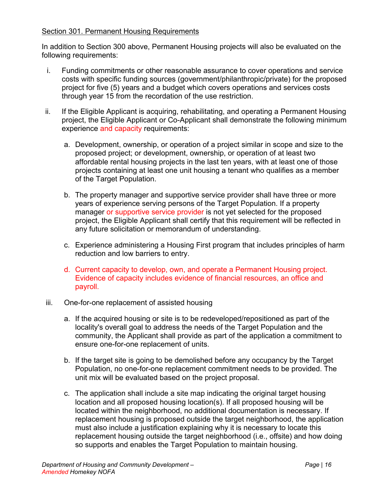#### <span id="page-18-0"></span>Section 301. Permanent Housing Requirements

In addition to Section 300 above, Permanent Housing projects will also be evaluated on the following requirements:

- i. Funding commitments or other reasonable assurance to cover operations and service costs with specific funding sources (government/philanthropic/private) for the proposed project for five (5) years and a budget which covers operations and services costs through year 15 from the recordation of the use restriction.
- ii. If the Eligible Applicant is acquiring, rehabilitating, and operating a Permanent Housing project, the Eligible Applicant or Co-Applicant shall demonstrate the following minimum experience and capacity requirements:
	- a. Development, ownership, or operation of a project similar in scope and size to the proposed project; or development, ownership, or operation of at least two affordable rental housing projects in the last ten years, with at least one of those projects containing at least one unit housing a tenant who qualifies as a member of the Target Population.
	- b. The property manager and supportive service provider shall have three or more years of experience serving persons of the Target Population. If a property manager or supportive service provider is not yet selected for the proposed project, the Eligible Applicant shall certify that this requirement will be reflected in any future solicitation or memorandum of understanding.
	- c. Experience administering a Housing First program that includes principles of harm reduction and low barriers to entry.
	- d. Current capacity to develop, own, and operate a Permanent Housing project. Evidence of capacity includes evidence of financial resources, an office and payroll.
- iii. One-for-one replacement of assisted housing
	- a. If the acquired housing or site is to be redeveloped/repositioned as part of the locality's overall goal to address the needs of the Target Population and the community, the Applicant shall provide as part of the application a commitment to ensure one-for-one replacement of units.
	- b. If the target site is going to be demolished before any occupancy by the Target Population, no one-for-one replacement commitment needs to be provided. The unit mix will be evaluated based on the project proposal.
	- c. The application shall include a site map indicating the original target housing location and all proposed housing location(s). If all proposed housing will be located within the neighborhood, no additional documentation is necessary. If replacement housing is proposed outside the target neighborhood, the application must also include a justification explaining why it is necessary to locate this replacement housing outside the target neighborhood (i.e., offsite) and how doing so supports and enables the Target Population to maintain housing.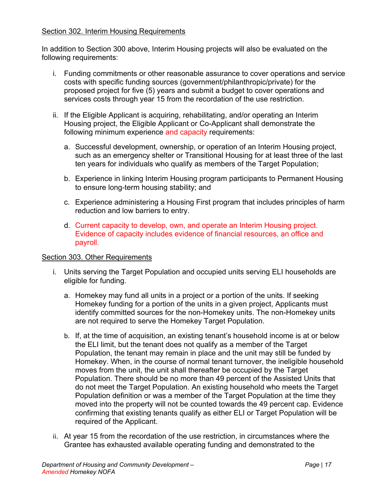#### <span id="page-19-0"></span>Section 302. Interim Housing Requirements

In addition to Section 300 above, Interim Housing projects will also be evaluated on the following requirements:

- i. Funding commitments or other reasonable assurance to cover operations and service costs with specific funding sources (government/philanthropic/private) for the proposed project for five (5) years and submit a budget to cover operations and services costs through year 15 from the recordation of the use restriction.
- ii. If the Eligible Applicant is acquiring, rehabilitating, and/or operating an Interim Housing project, the Eligible Applicant or Co-Applicant shall demonstrate the following minimum experience and capacity requirements:
	- a. Successful development, ownership, or operation of an Interim Housing project, such as an emergency shelter or Transitional Housing for at least three of the last ten years for individuals who qualify as members of the Target Population;
	- b. Experience in linking Interim Housing program participants to Permanent Housing to ensure long-term housing stability; and
	- c. Experience administering a Housing First program that includes principles of harm reduction and low barriers to entry.
	- d. Current capacity to develop, own, and operate an Interim Housing project. Evidence of capacity includes evidence of financial resources, an office and payroll.

#### <span id="page-19-1"></span>Section 303. Other Requirements

- i. Units serving the Target Population and occupied units serving ELI households are eligible for funding.
	- a. Homekey may fund all units in a project or a portion of the units. If seeking Homekey funding for a portion of the units in a given project, Applicants must identify committed sources for the non-Homekey units. The non-Homekey units are not required to serve the Homekey Target Population.
	- b. If, at the time of acquisition, an existing tenant's household income is at or below the ELI limit, but the tenant does not qualify as a member of the Target Population, the tenant may remain in place and the unit may still be funded by Homekey. When, in the course of normal tenant turnover, the ineligible household moves from the unit, the unit shall thereafter be occupied by the Target Population. There should be no more than 49 percent of the Assisted Units that do not meet the Target Population. An existing household who meets the Target Population definition or was a member of the Target Population at the time they moved into the property will not be counted towards the 49 percent cap. Evidence confirming that existing tenants qualify as either ELI or Target Population will be required of the Applicant.
- ii. At year 15 from the recordation of the use restriction, in circumstances where the Grantee has exhausted available operating funding and demonstrated to the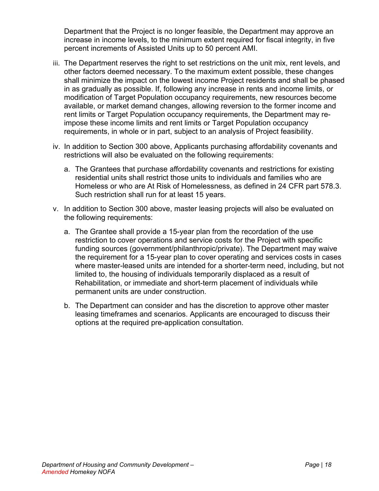Department that the Project is no longer feasible, the Department may approve an increase in income levels, to the minimum extent required for fiscal integrity, in five percent increments of Assisted Units up to 50 percent AMI.

- iii. The Department reserves the right to set restrictions on the unit mix, rent levels, and other factors deemed necessary. To the maximum extent possible, these changes shall minimize the impact on the lowest income Project residents and shall be phased in as gradually as possible. If, following any increase in rents and income limits, or modification of Target Population occupancy requirements, new resources become available, or market demand changes, allowing reversion to the former income and rent limits or Target Population occupancy requirements, the Department may reimpose these income limits and rent limits or Target Population occupancy requirements, in whole or in part, subject to an analysis of Project feasibility.
- iv. In addition to Section 300 above, Applicants purchasing affordability covenants and restrictions will also be evaluated on the following requirements:
	- a. The Grantees that purchase affordability covenants and restrictions for existing residential units shall restrict those units to individuals and families who are Homeless or who are At Risk of Homelessness, as defined in 24 CFR part 578.3. Such restriction shall run for at least 15 years.
- <span id="page-20-0"></span>v. In addition to Section 300 above, master leasing projects will also be evaluated on the following requirements:
	- a. The Grantee shall provide a 15-year plan from the recordation of the use restriction to cover operations and service costs for the Project with specific funding sources (government/philanthropic/private). The Department may waive the requirement for a 15-year plan to cover operating and services costs in cases where master-leased units are intended for a shorter-term need, including, but not limited to, the housing of individuals temporarily displaced as a result of Rehabilitation, or immediate and short-term placement of individuals while permanent units are under construction.
	- b. The Department can consider and has the discretion to approve other master leasing timeframes and scenarios. Applicants are encouraged to discuss their options at the required pre-application consultation.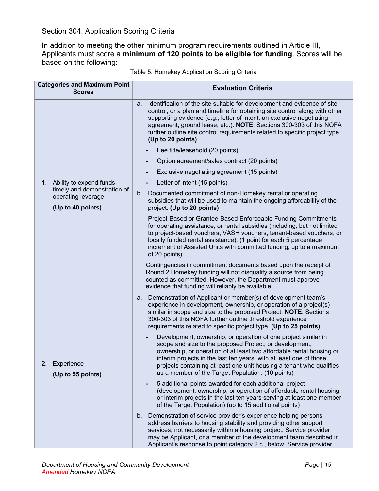In addition to meeting the other minimum program requirements outlined in Article III, Applicants must score a **minimum of 120 points to be eligible for funding**. Scores will be based on the following:

| <b>Categories and Maximum Point</b><br><b>Scores</b>                   | <b>Evaluation Criteria</b>                                                                                                                                                                                                                                                                                                                                                                                        |  |  |
|------------------------------------------------------------------------|-------------------------------------------------------------------------------------------------------------------------------------------------------------------------------------------------------------------------------------------------------------------------------------------------------------------------------------------------------------------------------------------------------------------|--|--|
|                                                                        | Identification of the site suitable for development and evidence of site<br>a.<br>control, or a plan and timeline for obtaining site control along with other<br>supporting evidence (e.g., letter of intent, an exclusive negotiating<br>agreement, ground lease, etc.). NOTE: Sections 300-303 of this NOFA<br>further outline site control requirements related to specific project type.<br>(Up to 20 points) |  |  |
|                                                                        | Fee title/leasehold (20 points)                                                                                                                                                                                                                                                                                                                                                                                   |  |  |
|                                                                        | Option agreement/sales contract (20 points)                                                                                                                                                                                                                                                                                                                                                                       |  |  |
|                                                                        | Exclusive negotiating agreement (15 points)                                                                                                                                                                                                                                                                                                                                                                       |  |  |
| 1. Ability to expend funds                                             | Letter of intent (15 points)                                                                                                                                                                                                                                                                                                                                                                                      |  |  |
| timely and demonstration of<br>operating leverage<br>(Up to 40 points) | Documented commitment of non-Homekey rental or operating<br>$b_{-}$<br>subsidies that will be used to maintain the ongoing affordability of the<br>project. (Up to 20 points)                                                                                                                                                                                                                                     |  |  |
|                                                                        | Project-Based or Grantee-Based Enforceable Funding Commitments<br>for operating assistance, or rental subsidies (including, but not limited<br>to project-based vouchers, VASH vouchers, tenant-based vouchers, or<br>locally funded rental assistance): (1 point for each 5 percentage<br>increment of Assisted Units with committed funding, up to a maximum<br>of 20 points)                                   |  |  |
|                                                                        | Contingencies in commitment documents based upon the receipt of<br>Round 2 Homekey funding will not disqualify a source from being<br>counted as committed. However, the Department must approve<br>evidence that funding will reliably be available.                                                                                                                                                             |  |  |
|                                                                        | Demonstration of Applicant or member(s) of development team's<br>a.<br>experience in development, ownership, or operation of a project(s)<br>similar in scope and size to the proposed Project. NOTE: Sections<br>300-303 of this NOFA further outline threshold experience<br>requirements related to specific project type. (Up to 25 points)                                                                   |  |  |
| 2.<br>Experience<br>(Up to 55 points)                                  | Development, ownership, or operation of one project similar in<br>scope and size to the proposed Project; or development,<br>ownership, or operation of at least two affordable rental housing or<br>interim projects in the last ten years, with at least one of those<br>projects containing at least one unit housing a tenant who qualifies<br>as a member of the Target Population. (10 points)              |  |  |
|                                                                        | 5 additional points awarded for each additional project<br>(development, ownership, or operation of affordable rental housing<br>or interim projects in the last ten years serving at least one member<br>of the Target Population) (up to 15 additional points)                                                                                                                                                  |  |  |
|                                                                        | b. Demonstration of service provider's experience helping persons<br>address barriers to housing stability and providing other support<br>services, not necessarily within a housing project. Service provider<br>may be Applicant, or a member of the development team described in<br>Applicant's response to point category 2.c., below. Service provider                                                      |  |  |

Table 5: Homekey Application Scoring Criteria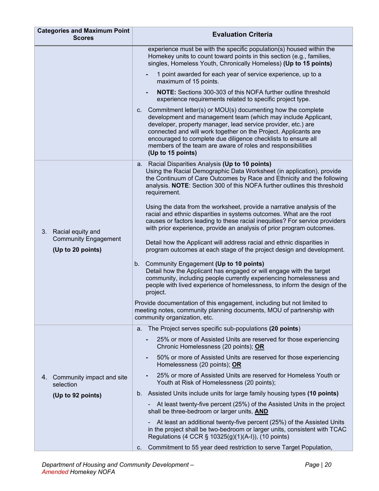| <b>Categories and Maximum Point</b><br><b>Scores</b>   | <b>Evaluation Criteria</b>                                                                                                                                                                                                                                                                                                                                                                                               |  |  |
|--------------------------------------------------------|--------------------------------------------------------------------------------------------------------------------------------------------------------------------------------------------------------------------------------------------------------------------------------------------------------------------------------------------------------------------------------------------------------------------------|--|--|
|                                                        | experience must be with the specific population(s) housed within the<br>Homekey units to count toward points in this section (e.g., families,<br>singles, Homeless Youth, Chronically Homeless) (Up to 15 points)                                                                                                                                                                                                        |  |  |
|                                                        | 1 point awarded for each year of service experience, up to a<br>maximum of 15 points.                                                                                                                                                                                                                                                                                                                                    |  |  |
|                                                        | <b>NOTE:</b> Sections 300-303 of this NOFA further outline threshold<br>$\overline{\phantom{a}}$<br>experience requirements related to specific project type.                                                                                                                                                                                                                                                            |  |  |
|                                                        | c. Commitment letter(s) or MOU(s) documenting how the complete<br>development and management team (which may include Applicant,<br>developer, property manager, lead service provider, etc.) are<br>connected and will work together on the Project. Applicants are<br>encouraged to complete due diligence checklists to ensure all<br>members of the team are aware of roles and responsibilities<br>(Up to 15 points) |  |  |
|                                                        | a. Racial Disparities Analysis (Up to 10 points)<br>Using the Racial Demographic Data Worksheet (in application), provide<br>the Continuum of Care Outcomes by Race and Ethnicity and the following<br>analysis. NOTE: Section 300 of this NOFA further outlines this threshold<br>requirement.                                                                                                                          |  |  |
| Racial equity and<br>3.<br><b>Community Engagement</b> | Using the data from the worksheet, provide a narrative analysis of the<br>racial and ethnic disparities in systems outcomes. What are the root<br>causes or factors leading to these racial inequities? For service providers<br>with prior experience, provide an analysis of prior program outcomes.<br>Detail how the Applicant will address racial and ethnic disparities in                                         |  |  |
| (Up to 20 points)                                      | program outcomes at each stage of the project design and development.                                                                                                                                                                                                                                                                                                                                                    |  |  |
|                                                        | Community Engagement (Up to 10 points)<br>b.<br>Detail how the Applicant has engaged or will engage with the target<br>community, including people currently experiencing homelessness and<br>people with lived experience of homelessness, to inform the design of the<br>project.                                                                                                                                      |  |  |
|                                                        | Provide documentation of this engagement, including but not limited to<br>meeting notes, community planning documents, MOU of partnership with<br>community organization, etc.                                                                                                                                                                                                                                           |  |  |
|                                                        | a. The Project serves specific sub-populations (20 points)                                                                                                                                                                                                                                                                                                                                                               |  |  |
|                                                        | 25% or more of Assisted Units are reserved for those experiencing<br>Chronic Homelessness (20 points); OR                                                                                                                                                                                                                                                                                                                |  |  |
|                                                        | 50% or more of Assisted Units are reserved for those experiencing<br>Homelessness (20 points); OR                                                                                                                                                                                                                                                                                                                        |  |  |
| Community impact and site<br>4.<br>selection           | 25% or more of Assisted Units are reserved for Homeless Youth or<br>Youth at Risk of Homelessness (20 points);                                                                                                                                                                                                                                                                                                           |  |  |
| (Up to 92 points)                                      | Assisted Units include units for large family housing types (10 points)<br>$b_{\cdot}$                                                                                                                                                                                                                                                                                                                                   |  |  |
|                                                        | At least twenty-five percent (25%) of the Assisted Units in the project<br>shall be three-bedroom or larger units, AND                                                                                                                                                                                                                                                                                                   |  |  |
|                                                        | At least an additional twenty-five percent (25%) of the Assisted Units<br>in the project shall be two-bedroom or larger units, consistent with TCAC<br>Regulations (4 CCR $\S$ 10325(g)(1)(A-I)), (10 points)                                                                                                                                                                                                            |  |  |
|                                                        | Commitment to 55 year deed restriction to serve Target Population,<br>C.                                                                                                                                                                                                                                                                                                                                                 |  |  |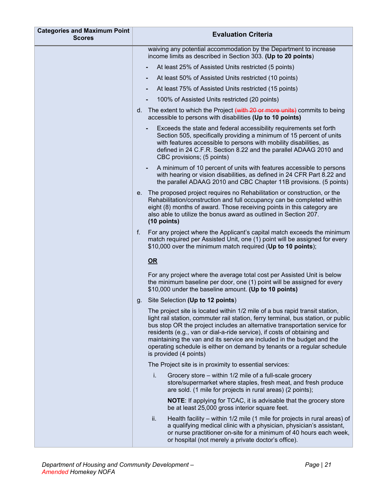| <b>Categories and Maximum Point</b><br><b>Scores</b> | <b>Evaluation Criteria</b>                                                                                                                                                                                                                                                                                                                                                                                                                                                                               |  |  |
|------------------------------------------------------|----------------------------------------------------------------------------------------------------------------------------------------------------------------------------------------------------------------------------------------------------------------------------------------------------------------------------------------------------------------------------------------------------------------------------------------------------------------------------------------------------------|--|--|
|                                                      | waiving any potential accommodation by the Department to increase<br>income limits as described in Section 303. (Up to 20 points)                                                                                                                                                                                                                                                                                                                                                                        |  |  |
|                                                      | At least 25% of Assisted Units restricted (5 points)                                                                                                                                                                                                                                                                                                                                                                                                                                                     |  |  |
|                                                      | At least 50% of Assisted Units restricted (10 points)                                                                                                                                                                                                                                                                                                                                                                                                                                                    |  |  |
|                                                      | At least 75% of Assisted Units restricted (15 points)                                                                                                                                                                                                                                                                                                                                                                                                                                                    |  |  |
|                                                      | 100% of Assisted Units restricted (20 points)                                                                                                                                                                                                                                                                                                                                                                                                                                                            |  |  |
|                                                      | d. The extent to which the Project (with 20 or more units) commits to being<br>accessible to persons with disabilities (Up to 10 points)                                                                                                                                                                                                                                                                                                                                                                 |  |  |
|                                                      | Exceeds the state and federal accessibility requirements set forth<br>Section 505, specifically providing a minimum of 15 percent of units<br>with features accessible to persons with mobility disabilities, as<br>defined in 24 C.F.R. Section 8.22 and the parallel ADAAG 2010 and<br>CBC provisions; (5 points)                                                                                                                                                                                      |  |  |
|                                                      | A minimum of 10 percent of units with features accessible to persons<br>with hearing or vision disabilities, as defined in 24 CFR Part 8.22 and<br>the parallel ADAAG 2010 and CBC Chapter 11B provisions. (5 points)                                                                                                                                                                                                                                                                                    |  |  |
|                                                      | The proposed project requires no Rehabilitation or construction, or the<br>е.<br>Rehabilitation/construction and full occupancy can be completed within<br>eight (8) months of award. Those receiving points in this category are<br>also able to utilize the bonus award as outlined in Section 207.<br>$(10$ points)                                                                                                                                                                                   |  |  |
|                                                      | f.<br>For any project where the Applicant's capital match exceeds the minimum<br>match required per Assisted Unit, one (1) point will be assigned for every<br>\$10,000 over the minimum match required (Up to 10 points);                                                                                                                                                                                                                                                                               |  |  |
|                                                      | OR                                                                                                                                                                                                                                                                                                                                                                                                                                                                                                       |  |  |
|                                                      | For any project where the average total cost per Assisted Unit is below<br>the minimum baseline per door, one (1) point will be assigned for every<br>\$10,000 under the baseline amount. (Up to 10 points)                                                                                                                                                                                                                                                                                              |  |  |
|                                                      | Site Selection (Up to 12 points)<br>g.                                                                                                                                                                                                                                                                                                                                                                                                                                                                   |  |  |
|                                                      | The project site is located within 1/2 mile of a bus rapid transit station,<br>light rail station, commuter rail station, ferry terminal, bus station, or public<br>bus stop OR the project includes an alternative transportation service for<br>residents (e.g., van or dial-a-ride service), if costs of obtaining and<br>maintaining the van and its service are included in the budget and the<br>operating schedule is either on demand by tenants or a regular schedule<br>is provided (4 points) |  |  |
|                                                      | The Project site is in proximity to essential services:                                                                                                                                                                                                                                                                                                                                                                                                                                                  |  |  |
|                                                      | i.<br>Grocery store – within 1/2 mile of a full-scale grocery<br>store/supermarket where staples, fresh meat, and fresh produce<br>are sold. (1 mile for projects in rural areas) (2 points);                                                                                                                                                                                                                                                                                                            |  |  |
|                                                      | <b>NOTE:</b> If applying for TCAC, it is advisable that the grocery store<br>be at least 25,000 gross interior square feet.                                                                                                                                                                                                                                                                                                                                                                              |  |  |
|                                                      | ii.<br>Health facility – within 1/2 mile (1 mile for projects in rural areas) of<br>a qualifying medical clinic with a physician, physician's assistant,<br>or nurse practitioner on-site for a minimum of 40 hours each week,<br>or hospital (not merely a private doctor's office).                                                                                                                                                                                                                    |  |  |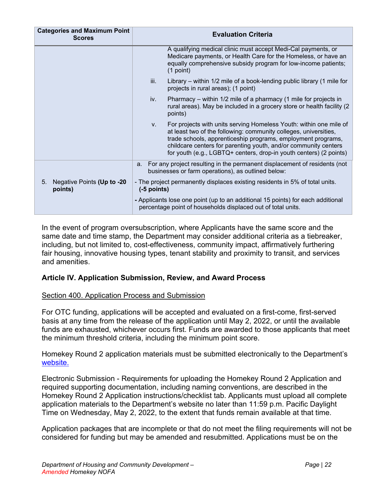| <b>Categories and Maximum Point</b><br><b>Scores</b> | <b>Evaluation Criteria</b>                                                                                                                                                                                                                                                                                                                            |  |  |  |
|------------------------------------------------------|-------------------------------------------------------------------------------------------------------------------------------------------------------------------------------------------------------------------------------------------------------------------------------------------------------------------------------------------------------|--|--|--|
|                                                      | A qualifying medical clinic must accept Medi-Cal payments, or<br>Medicare payments, or Health Care for the Homeless, or have an<br>equally comprehensive subsidy program for low-income patients;<br>$(1$ point)                                                                                                                                      |  |  |  |
|                                                      | iii.<br>Library – within $1/2$ mile of a book-lending public library (1 mile for<br>projects in rural areas); (1 point)                                                                                                                                                                                                                               |  |  |  |
|                                                      | Pharmacy – within 1/2 mile of a pharmacy (1 mile for projects in<br>iv.<br>rural areas). May be included in a grocery store or health facility (2<br>points)                                                                                                                                                                                          |  |  |  |
|                                                      | For projects with units serving Homeless Youth: within one mile of<br>V.<br>at least two of the following: community colleges, universities,<br>trade schools, apprenticeship programs, employment programs,<br>childcare centers for parenting youth, and/or community centers<br>for youth (e.g., LGBTQ+ centers, drop-in youth centers) (2 points) |  |  |  |
|                                                      | For any project resulting in the permanent displacement of residents (not<br>a.<br>businesses or farm operations), as outlined below:                                                                                                                                                                                                                 |  |  |  |
| 5.<br>Negative Points (Up to -20<br>points)          | - The project permanently displaces existing residents in 5% of total units.<br>$(-5$ points)                                                                                                                                                                                                                                                         |  |  |  |
|                                                      | - Applicants lose one point (up to an additional 15 points) for each additional<br>percentage point of households displaced out of total units.                                                                                                                                                                                                       |  |  |  |

In the event of program oversubscription, where Applicants have the same score and the same date and time stamp, the Department may consider additional criteria as a tiebreaker, including, but not limited to, cost-effectiveness, community impact, affirmatively furthering fair housing, innovative housing types, tenant stability and proximity to transit, and services and amenities.

## <span id="page-24-0"></span>**Article IV. Application Submission, Review, and Award Process**

#### <span id="page-24-1"></span>Section 400. Application Process and Submission

For OTC funding, applications will be accepted and evaluated on a first-come, first-served basis at any time from the release of the application until May 2, 2022, or until the available funds are exhausted, whichever occurs first. Funds are awarded to those applicants that meet the minimum threshold criteria, including the minimum point score.

Homekey Round 2 application materials must be submitted electronically to the Department's [website.](https://homekey.hcd.ca.gov/)

Electronic Submission - Requirements for uploading the Homekey Round 2 Application and required supporting documentation, including naming conventions, are described in the Homekey Round 2 Application instructions/checklist tab. Applicants must upload all complete application materials to the Department's website no later than 11:59 p.m. Pacific Daylight Time on Wednesday, May 2, 2022, to the extent that funds remain available at that time.

Application packages that are incomplete or that do not meet the filing requirements will not be considered for funding but may be amended and resubmitted. Applications must be on the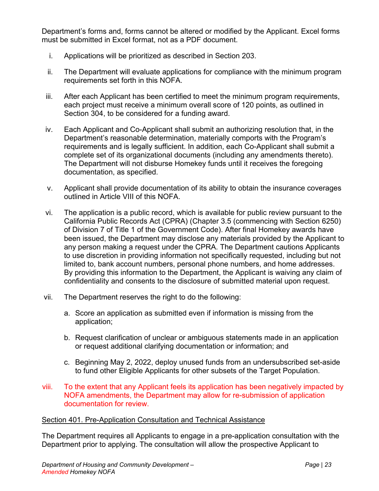Department's forms and, forms cannot be altered or modified by the Applicant. Excel forms must be submitted in Excel format, not as a PDF document.

- i. Applications will be prioritized as described in Section 203.
- ii. The Department will evaluate applications for compliance with the minimum program requirements set forth in this NOFA.
- iii. After each Applicant has been certified to meet the minimum program requirements, each project must receive a minimum overall score of 120 points, as outlined in Section 304, to be considered for a funding award.
- iv. Each Applicant and Co-Applicant shall submit an authorizing resolution that, in the Department's reasonable determination, materially comports with the Program's requirements and is legally sufficient. In addition, each Co-Applicant shall submit a complete set of its organizational documents (including any amendments thereto). The Department will not disburse Homekey funds until it receives the foregoing documentation, as specified.
- v. Applicant shall provide documentation of its ability to obtain the insurance coverages outlined in Article VIII of this NOFA.
- vi. The application is a public record, which is available for public review pursuant to the California Public Records Act (CPRA) (Chapter 3.5 (commencing with Section 6250) of Division 7 of Title 1 of the Government Code). After final Homekey awards have been issued, the Department may disclose any materials provided by the Applicant to any person making a request under the CPRA. The Department cautions Applicants to use discretion in providing information not specifically requested, including but not limited to, bank account numbers, personal phone numbers, and home addresses. By providing this information to the Department, the Applicant is waiving any claim of confidentiality and consents to the disclosure of submitted material upon request.
- vii. The Department reserves the right to do the following:
	- a. Score an application as submitted even if information is missing from the application;
	- b. Request clarification of unclear or ambiguous statements made in an application or request additional clarifying documentation or information; and
	- c. Beginning May 2, 2022, deploy unused funds from an undersubscribed set-aside to fund other Eligible Applicants for other subsets of the Target Population.
- viii. To the extent that any Applicant feels its application has been negatively impacted by NOFA amendments, the Department may allow for re-submission of application documentation for review.

#### <span id="page-25-0"></span>Section 401. Pre-Application Consultation and Technical Assistance

The Department requires all Applicants to engage in a pre-application consultation with the Department prior to applying. The consultation will allow the prospective Applicant to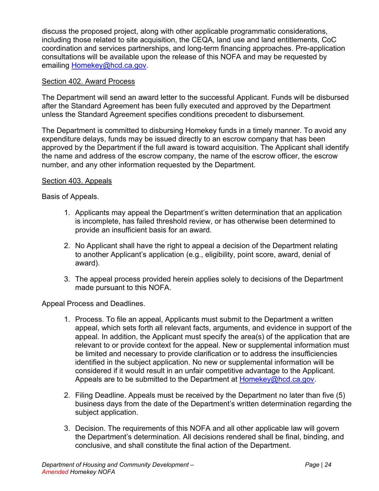discuss the proposed project, along with other applicable programmatic considerations, including those related to site acquisition, the CEQA, land use and land entitlements, CoC coordination and services partnerships, and long-term financing approaches. Pre-application consultations will be available upon the release of this NOFA and may be requested by emailing [Homekey@hcd.ca.gov.](mailto:Homekey@hcd.ca.gov)

#### <span id="page-26-0"></span>Section 402. Award Process

The Department will send an award letter to the successful Applicant. Funds will be disbursed after the Standard Agreement has been fully executed and approved by the Department unless the Standard Agreement specifies conditions precedent to disbursement.

The Department is committed to disbursing Homekey funds in a timely manner. To avoid any expenditure delays, funds may be issued directly to an escrow company that has been approved by the Department if the full award is toward acquisition. The Applicant shall identify the name and address of the escrow company, the name of the escrow officer, the escrow number, and any other information requested by the Department.

#### <span id="page-26-1"></span>Section 403. Appeals

Basis of Appeals.

- 1. Applicants may appeal the Department's written determination that an application is incomplete, has failed threshold review, or has otherwise been determined to provide an insufficient basis for an award.
- 2. No Applicant shall have the right to appeal a decision of the Department relating to another Applicant's application (e.g., eligibility, point score, award, denial of award).
- 3. The appeal process provided herein applies solely to decisions of the Department made pursuant to this NOFA.

Appeal Process and Deadlines.

- 1. Process. To file an appeal, Applicants must submit to the Department a written appeal, which sets forth all relevant facts, arguments, and evidence in support of the appeal. In addition, the Applicant must specify the area(s) of the application that are relevant to or provide context for the appeal. New or supplemental information must be limited and necessary to provide clarification or to address the insufficiencies identified in the subject application. No new or supplemental information will be considered if it would result in an unfair competitive advantage to the Applicant. Appeals are to be submitted to the Department at [Homekey@hcd.ca.gov.](mailto:Homekey@hcd.ca.gov)
- 2. Filing Deadline. Appeals must be received by the Department no later than five (5) business days from the date of the Department's written determination regarding the subject application.
- 3. Decision. The requirements of this NOFA and all other applicable law will govern the Department's determination. All decisions rendered shall be final, binding, and conclusive, and shall constitute the final action of the Department.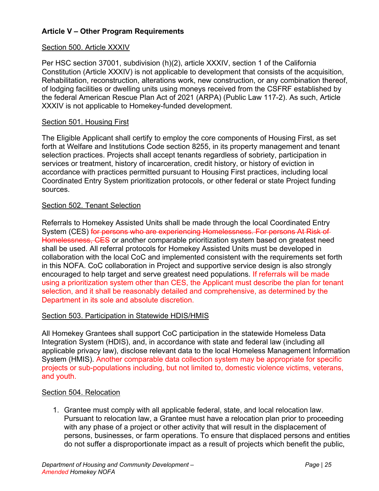## <span id="page-27-0"></span>**Article V – Other Program Requirements**

#### Section 500. Article XXXIV

Per HSC section 37001, subdivision (h)(2), article XXXIV, section 1 of the California Constitution (Article XXXIV) is not applicable to development that consists of the acquisition, Rehabilitation, reconstruction, alterations work, new construction, or any combination thereof, of lodging facilities or dwelling units using moneys received from the CSFRF established by the federal American Rescue Plan Act of 2021 (ARPA) (Public Law 117-2). As such, Article XXXIV is not applicable to Homekey-funded development.

#### <span id="page-27-1"></span>Section 501. Housing First

The Eligible Applicant shall certify to employ the core components of Housing First, as set forth at Welfare and Institutions Code section 8255, in its property management and tenant selection practices. Projects shall accept tenants regardless of sobriety, participation in services or treatment, history of incarceration, credit history, or history of eviction in accordance with practices permitted pursuant to Housing First practices, including local Coordinated Entry System prioritization protocols, or other federal or state Project funding sources.

#### <span id="page-27-2"></span>Section 502. Tenant Selection

Referrals to Homekey Assisted Units shall be made through the local Coordinated Entry System (CES) for persons who are experiencing Homelessness. For persons At Risk of Homelessness, CES or another comparable prioritization system based on greatest need shall be used. All referral protocols for Homekey Assisted Units must be developed in collaboration with the local CoC and implemented consistent with the requirements set forth in this NOFA. CoC collaboration in Project and supportive service design is also strongly encouraged to help target and serve greatest need populations. If referrals will be made using a prioritization system other than CES, the Applicant must describe the plan for tenant selection, and it shall be reasonably detailed and comprehensive, as determined by the Department in its sole and absolute discretion.

#### <span id="page-27-3"></span>Section 503. Participation in Statewide HDIS/HMIS

All Homekey Grantees shall support CoC participation in the statewide Homeless Data Integration System (HDIS), and, in accordance with state and federal law (including all applicable privacy law), disclose relevant data to the local Homeless Management Information System (HMIS). Another comparable data collection system may be appropriate for specific projects or sub-populations including, but not limited to, domestic violence victims, veterans, and youth.

#### <span id="page-27-4"></span>Section 504. Relocation

1. Grantee must comply with all applicable federal, state, and local relocation law. Pursuant to relocation law, a Grantee must have a relocation plan prior to proceeding with any phase of a project or other activity that will result in the displacement of persons, businesses, or farm operations. To ensure that displaced persons and entities do not suffer a disproportionate impact as a result of projects which benefit the public,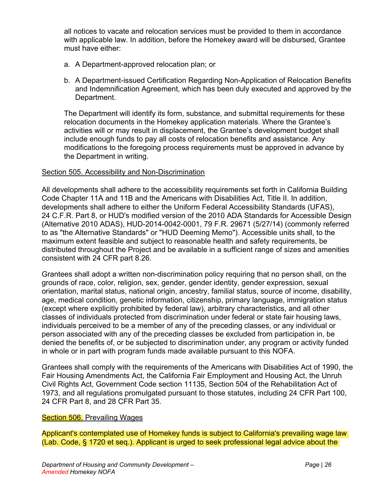all notices to vacate and relocation services must be provided to them in accordance with applicable law. In addition, before the Homekey award will be disbursed, Grantee must have either:

- a. A Department-approved relocation plan; or
- b. A Department-issued Certification Regarding Non-Application of Relocation Benefits and Indemnification Agreement, which has been duly executed and approved by the Department.

The Department will identify its form, substance, and submittal requirements for these relocation documents in the Homekey application materials. Where the Grantee's activities will or may result in displacement, the Grantee's development budget shall include enough funds to pay all costs of relocation benefits and assistance. Any modifications to the foregoing process requirements must be approved in advance by the Department in writing.

#### <span id="page-28-0"></span>Section 505. Accessibility and Non-Discrimination

All developments shall adhere to the accessibility requirements set forth in California Building Code Chapter 11A and 11B and the Americans with Disabilities Act, Title II. In addition, developments shall adhere to either the Uniform Federal Accessibility Standards (UFAS), 24 C.F.R. Part 8, or HUD's modified version of the 2010 ADA Standards for Accessible Design (Alternative 2010 ADAS), HUD-2014-0042-0001, 79 F.R. 29671 (5/27/14) (commonly referred to as "the Alternative Standards" or "HUD Deeming Memo"). Accessible units shall, to the maximum extent feasible and subject to reasonable health and safety requirements, be distributed throughout the Project and be available in a sufficient range of sizes and amenities consistent with 24 CFR part 8.26.

Grantees shall adopt a written non-discrimination policy requiring that no person shall, on the grounds of race, color, religion, sex, gender, gender identity, gender expression, sexual orientation, marital status, national origin, ancestry, familial status, source of income, disability, age, medical condition, genetic information, citizenship, primary language, immigration status (except where explicitly prohibited by federal law), arbitrary characteristics, and all other classes of individuals protected from discrimination under federal or state fair housing laws, individuals perceived to be a member of any of the preceding classes, or any individual or person associated with any of the preceding classes be excluded from participation in, be denied the benefits of, or be subjected to discrimination under, any program or activity funded in whole or in part with program funds made available pursuant to this NOFA.

Grantees shall comply with the requirements of the Americans with Disabilities Act of 1990, the Fair Housing Amendments Act, the California Fair Employment and Housing Act, the Unruh Civil Rights Act, Government Code section 11135, Section 504 of the Rehabilitation Act of 1973, and all regulations promulgated pursuant to those statutes, including 24 CFR Part 100, 24 CFR Part 8, and 28 CFR Part 35.

#### <span id="page-28-1"></span>Section 506. Prevailing Wages

Applicant's contemplated use of Homekey funds is subject to California's prevailing wage law (Lab. Code, § 1720 et seq.). Applicant is urged to seek professional legal advice about the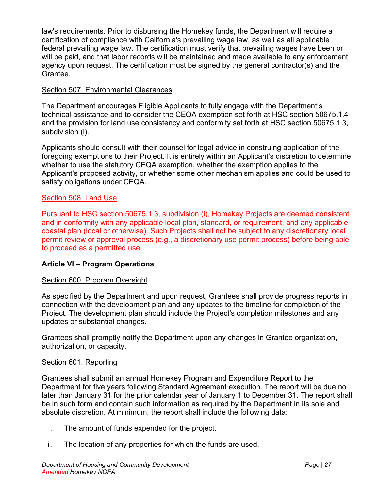law's requirements. Prior to disbursing the Homekey funds, the Department will require a certification of compliance with California's prevailing wage law, as well as all applicable federal prevailing wage law. The certification must verify that prevailing wages have been or will be paid, and that labor records will be maintained and made available to any enforcement agency upon request. The certification must be signed by the general contractor(s) and the Grantee.

#### <span id="page-29-0"></span>Section 507. Environmental Clearances

The Department encourages Eligible Applicants to fully engage with the Department's technical assistance and to consider the CEQA exemption set forth at HSC section 50675.1.4 and the provision for land use consistency and conformity set forth at HSC section 50675.1.3, subdivision (i).

Applicants should consult with their counsel for legal advice in construing application of the foregoing exemptions to their Project. It is entirely within an Applicant's discretion to determine whether to use the statutory CEQA exemption, whether the exemption applies to the Applicant's proposed activity, or whether some other mechanism applies and could be used to satisfy obligations under CEQA.

#### <span id="page-29-1"></span>Section 508. Land Use

Pursuant to HSC section 50675.1.3, subdivision (i), Homekey Projects are deemed consistent and in conformity with any applicable local plan, standard, or requirement, and any applicable coastal plan (local or otherwise). Such Projects shall not be subject to any discretionary local permit review or approval process (e.g., a discretionary use permit process) before being able to proceed as a permitted use.

#### <span id="page-29-2"></span>**Article VI – Program Operations**

#### <span id="page-29-3"></span>Section 600. Program Oversight

As specified by the Department and upon request, Grantees shall provide progress reports in connection with the development plan and any updates to the timeline for completion of the Project. The development plan should include the Project's completion milestones and any updates or substantial changes.

Grantees shall promptly notify the Department upon any changes in Grantee organization, authorization, or capacity.

#### <span id="page-29-4"></span>Section 601. Reporting

Grantees shall submit an annual Homekey Program and Expenditure Report to the Department for five years following Standard Agreement execution. The report will be due no later than January 31 for the prior calendar year of January 1 to December 31. The report shall be in such form and contain such information as required by the Department in its sole and absolute discretion. At minimum, the report shall include the following data:

- i. The amount of funds expended for the project.
- ii. The location of any properties for which the funds are used.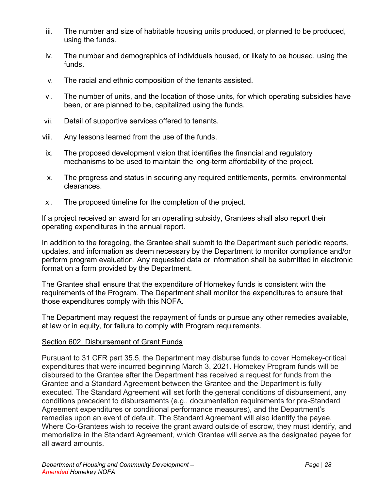- iii. The number and size of habitable housing units produced, or planned to be produced, using the funds.
- iv. The number and demographics of individuals housed, or likely to be housed, using the funds.
- v. The racial and ethnic composition of the tenants assisted.
- vi. The number of units, and the location of those units, for which operating subsidies have been, or are planned to be, capitalized using the funds.
- vii. Detail of supportive services offered to tenants.
- viii. Any lessons learned from the use of the funds.
- ix. The proposed development vision that identifies the financial and regulatory mechanisms to be used to maintain the long-term affordability of the project.
- x. The progress and status in securing any required entitlements, permits, environmental clearances.
- xi. The proposed timeline for the completion of the project.

If a project received an award for an operating subsidy, Grantees shall also report their operating expenditures in the annual report.

In addition to the foregoing, the Grantee shall submit to the Department such periodic reports, updates, and information as deem necessary by the Department to monitor compliance and/or perform program evaluation. Any requested data or information shall be submitted in electronic format on a form provided by the Department.

The Grantee shall ensure that the expenditure of Homekey funds is consistent with the requirements of the Program. The Department shall monitor the expenditures to ensure that those expenditures comply with this NOFA.

The Department may request the repayment of funds or pursue any other remedies available, at law or in equity, for failure to comply with Program requirements.

#### <span id="page-30-0"></span>Section 602. Disbursement of Grant Funds

Pursuant to 31 CFR part 35.5, the Department may disburse funds to cover Homekey-critical expenditures that were incurred beginning March 3, 2021. Homekey Program funds will be disbursed to the Grantee after the Department has received a request for funds from the Grantee and a Standard Agreement between the Grantee and the Department is fully executed. The Standard Agreement will set forth the general conditions of disbursement, any conditions precedent to disbursements (e.g., documentation requirements for pre-Standard Agreement expenditures or conditional performance measures), and the Department's remedies upon an event of default. The Standard Agreement will also identify the payee. Where Co-Grantees wish to receive the grant award outside of escrow, they must identify, and memorialize in the Standard Agreement, which Grantee will serve as the designated payee for all award amounts.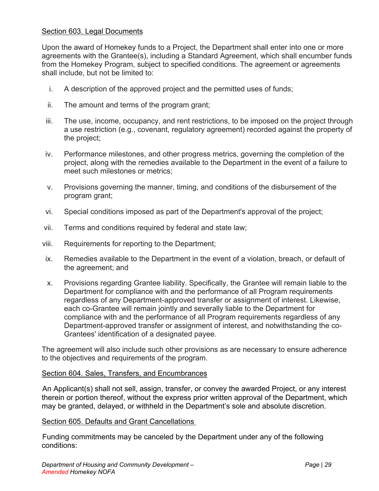#### <span id="page-31-0"></span>Section 603. Legal Documents

Upon the award of Homekey funds to a Project, the Department shall enter into one or more agreements with the Grantee(s), including a Standard Agreement, which shall encumber funds from the Homekey Program, subject to specified conditions. The agreement or agreements shall include, but not be limited to:

- i. A description of the approved project and the permitted uses of funds;
- ii. The amount and terms of the program grant;
- iii. The use, income, occupancy, and rent restrictions, to be imposed on the project through a use restriction (e.g., covenant, regulatory agreement) recorded against the property of the project;
- iv. Performance milestones, and other progress metrics, governing the completion of the project, along with the remedies available to the Department in the event of a failure to meet such milestones or metrics;
- v. Provisions governing the manner, timing, and conditions of the disbursement of the program grant;
- vi. Special conditions imposed as part of the Department's approval of the project;
- vii. Terms and conditions required by federal and state law;
- viii. Requirements for reporting to the Department;
- ix. Remedies available to the Department in the event of a violation, breach, or default of the agreement; and
- x. Provisions regarding Grantee liability. Specifically, the Grantee will remain liable to the Department for compliance with and the performance of all Program requirements regardless of any Department-approved transfer or assignment of interest. Likewise, each co-Grantee will remain jointly and severally liable to the Department for compliance with and the performance of all Program requirements regardless of any Department-approved transfer or assignment of interest, and notwithstanding the co-Grantees' identification of a designated payee.

The agreement will also include such other provisions as are necessary to ensure adherence to the objectives and requirements of the program.

#### <span id="page-31-1"></span>Section 604. Sales, Transfers, and Encumbrances

An Applicant(s) shall not sell, assign, transfer, or convey the awarded Project, or any interest therein or portion thereof, without the express prior written approval of the Department, which may be granted, delayed, or withheld in the Department's sole and absolute discretion.

#### <span id="page-31-2"></span>Section 605. Defaults and Grant Cancellations

Funding commitments may be canceled by the Department under any of the following conditions: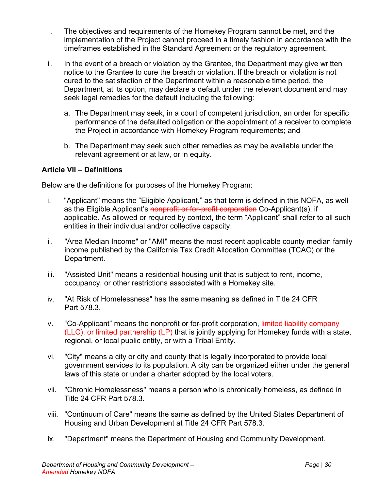- i. The objectives and requirements of the Homekey Program cannot be met, and the implementation of the Project cannot proceed in a timely fashion in accordance with the timeframes established in the Standard Agreement or the regulatory agreement.
- ii. In the event of a breach or violation by the Grantee, the Department may give written notice to the Grantee to cure the breach or violation. If the breach or violation is not cured to the satisfaction of the Department within a reasonable time period, the Department, at its option, may declare a default under the relevant document and may seek legal remedies for the default including the following:
	- a. The Department may seek, in a court of competent jurisdiction, an order for specific performance of the defaulted obligation or the appointment of a receiver to complete the Project in accordance with Homekey Program requirements; and
	- b. The Department may seek such other remedies as may be available under the relevant agreement or at law, or in equity.

#### <span id="page-32-0"></span>**Article VII – Definitions**

Below are the definitions for purposes of the Homekey Program:

- i. "Applicant" means the "Eligible Applicant," as that term is defined in this NOFA, as well as the Eligible Applicant's nonprofit or for-profit corporation Co-Applicant(s), if applicable. As allowed or required by context, the term "Applicant" shall refer to all such entities in their individual and/or collective capacity.
- ii. "Area Median Income" or "AMI" means the most recent applicable county median family income published by the California Tax Credit Allocation Committee (TCAC) or the Department.
- iii. "Assisted Unit" means a residential housing unit that is subject to rent, income, occupancy, or other restrictions associated with a Homekey site.
- iv. "At Risk of Homelessness" has the same meaning as defined in Title 24 CFR Part 578.3.
- v. "Co-Applicant" means the nonprofit or for-profit corporation, limited liability company (LLC), or limited partnership (LP) that is jointly applying for Homekey funds with a state, regional, or local public entity, or with a Tribal Entity.
- vi. "City" means a city or city and county that is legally incorporated to provide local government services to its population. A city can be organized either under the general laws of this state or under a charter adopted by the local voters.
- vii. "Chronic Homelessness" means a person who is chronically homeless, as defined in Title 24 CFR Part 578.3.
- viii. "Continuum of Care" means the same as defined by the United States Department of Housing and Urban Development at Title 24 CFR Part 578.3.
- ix. "Department" means the Department of Housing and Community Development.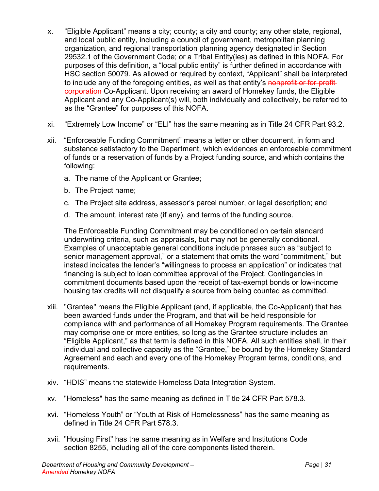- x. "Eligible Applicant" means a city; county; a city and county; any other state, regional, and local public entity, including a council of government, metropolitan planning organization, and regional transportation planning agency designated in Section 29532.1 of the Government Code; or a Tribal Entity(ies) as defined in this NOFA. For purposes of this definition, a "local public entity" is further defined in accordance with HSC section 50079. As allowed or required by context, "Applicant" shall be interpreted to include any of the foregoing entities, as well as that entity's nonprofit or for-profit corporation Co-Applicant. Upon receiving an award of Homekey funds, the Eligible Applicant and any Co-Applicant(s) will, both individually and collectively, be referred to as the "Grantee" for purposes of this NOFA.
- xi. "Extremely Low Income" or "ELI" has the same meaning as in Title 24 CFR Part 93.2.
- xii. "Enforceable Funding Commitment" means a letter or other document, in form and substance satisfactory to the Department, which evidences an enforceable commitment of funds or a reservation of funds by a Project funding source, and which contains the following:
	- a. The name of the Applicant or Grantee;
	- b. The Project name;
	- c. The Project site address, assessor's parcel number, or legal description; and
	- d. The amount, interest rate (if any), and terms of the funding source.

The Enforceable Funding Commitment may be conditioned on certain standard underwriting criteria, such as appraisals, but may not be generally conditional. Examples of unacceptable general conditions include phrases such as "subject to senior management approval," or a statement that omits the word "commitment," but instead indicates the lender's "willingness to process an application" or indicates that financing is subject to loan committee approval of the Project. Contingencies in commitment documents based upon the receipt of tax-exempt bonds or low-income housing tax credits will not disqualify a source from being counted as committed.

- xiii. "Grantee" means the Eligible Applicant (and, if applicable, the Co-Applicant) that has been awarded funds under the Program, and that will be held responsible for compliance with and performance of all Homekey Program requirements. The Grantee may comprise one or more entities, so long as the Grantee structure includes an "Eligible Applicant," as that term is defined in this NOFA. All such entities shall, in their individual and collective capacity as the "Grantee," be bound by the Homekey Standard Agreement and each and every one of the Homekey Program terms, conditions, and requirements.
- xiv. "HDIS" means the statewide Homeless Data Integration System.
- xv. "Homeless" has the same meaning as defined in Title 24 CFR Part 578.3.
- xvi. "Homeless Youth" or "Youth at Risk of Homelessness" has the same meaning as defined in Title 24 CFR Part 578.3.
- xvii. "Housing First" has the same meaning as in Welfare and Institutions Code section 8255, including all of the core components listed therein.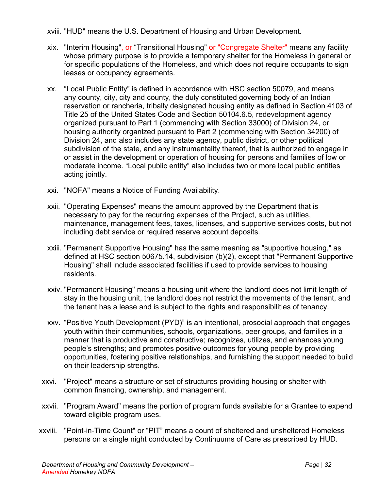xviii. "HUD" means the U.S. Department of Housing and Urban Development.

- xix. "Interim Housing", or "Transitional Housing" or "Congregate Shelter" means any facility whose primary purpose is to provide a temporary shelter for the Homeless in general or for specific populations of the Homeless, and which does not require occupants to sign leases or occupancy agreements.
- xx. "Local Public Entity" is defined in accordance with HSC section 50079, and means any county, city, city and county, the duly constituted governing body of an Indian reservation or rancheria, tribally designated housing entity as defined in Section 4103 of Title 25 of the United States Code and Section 50104.6.5, redevelopment agency organized pursuant to Part 1 (commencing with Section 33000) of Division 24, or housing authority organized pursuant to Part 2 (commencing with Section 34200) of Division 24, and also includes any state agency, public district, or other political subdivision of the state, and any instrumentality thereof, that is authorized to engage in or assist in the development or operation of housing for persons and families of low or moderate income. "Local public entity" also includes two or more local public entities acting jointly.
- xxi. "NOFA" means a Notice of Funding Availability.
- xxii. "Operating Expenses" means the amount approved by the Department that is necessary to pay for the recurring expenses of the Project, such as utilities, maintenance, management fees, taxes, licenses, and supportive services costs, but not including debt service or required reserve account deposits.
- xxiii. "Permanent Supportive Housing" has the same meaning as "supportive housing," as defined at HSC section 50675.14, subdivision (b)(2), except that "Permanent Supportive Housing" shall include associated facilities if used to provide services to housing residents.
- xxiv. "Permanent Housing" means a housing unit where the landlord does not limit length of stay in the housing unit, the landlord does not restrict the movements of the tenant, and the tenant has a lease and is subject to the rights and responsibilities of tenancy.
- xxv. "Positive Youth Development (PYD)" is an intentional, prosocial approach that engages youth within their communities, schools, organizations, peer groups, and families in a manner that is productive and constructive; recognizes, utilizes, and enhances young people's strengths; and promotes positive outcomes for young people by providing opportunities, fostering positive relationships, and furnishing the support needed to build on their leadership strengths.
- xxvi. "Project" means a structure or set of structures providing housing or shelter with common financing, ownership, and management.
- xxvii. "Program Award" means the portion of program funds available for a Grantee to expend toward eligible program uses.
- xxviii. "Point-in-Time Count" or "PIT" means a count of sheltered and unsheltered Homeless persons on a single night conducted by Continuums of Care as prescribed by HUD.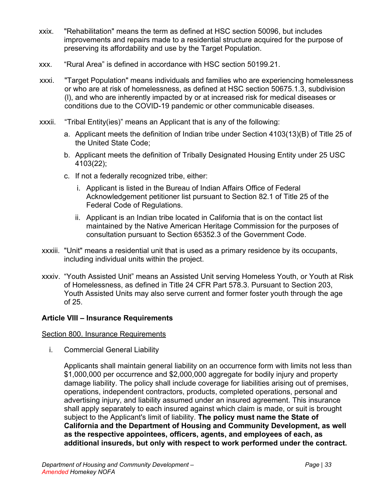- xxix. "Rehabilitation" means the term as defined at HSC section 50096, but includes improvements and repairs made to a residential structure acquired for the purpose of preserving its affordability and use by the Target Population.
- xxx. "Rural Area" is defined in accordance with HSC section 50199.21.
- xxxi. "Target Population" means individuals and families who are experiencing homelessness or who are at risk of homelessness, as defined at HSC section 50675.1.3, subdivision (l), and who are inherently impacted by or at increased risk for medical diseases or conditions due to the COVID-19 pandemic or other communicable diseases.
- xxxii. "Tribal Entity(ies)" means an Applicant that is any of the following:
	- a. Applicant meets the definition of Indian tribe under Section 4103(13)(B) of Title 25 of the United State Code;
	- b. Applicant meets the definition of Tribally Designated Housing Entity under 25 USC 4103(22);
	- c. If not a federally recognized tribe, either:
		- i. Applicant is listed in the Bureau of Indian Affairs Office of Federal Acknowledgement petitioner list pursuant to Section 82.1 of Title 25 of the Federal Code of Regulations.
		- ii. Applicant is an Indian tribe located in California that is on the contact list maintained by the Native American Heritage Commission for the purposes of consultation pursuant to Section 65352.3 of the Government Code.
- xxxiii. "Unit" means a residential unit that is used as a primary residence by its occupants, including individual units within the project.
- xxxiv. "Youth Assisted Unit" means an Assisted Unit serving Homeless Youth, or Youth at Risk of Homelessness, as defined in Title 24 CFR Part 578.3. Pursuant to Section 203, Youth Assisted Units may also serve current and former foster youth through the age of 25.

#### <span id="page-35-0"></span>**Article VIII – Insurance Requirements**

#### <span id="page-35-1"></span>Section 800. Insurance Requirements

i. Commercial General Liability

Applicants shall maintain general liability on an occurrence form with limits not less than \$1,000,000 per occurrence and \$2,000,000 aggregate for bodily injury and property damage liability. The policy shall include coverage for liabilities arising out of premises, operations, independent contractors, products, completed operations, personal and advertising injury, and liability assumed under an insured agreement. This insurance shall apply separately to each insured against which claim is made, or suit is brought subject to the Applicant's limit of liability. **The policy must name the State of California and the Department of Housing and Community Development, as well as the respective appointees, officers, agents, and employees of each, as additional insureds, but only with respect to work performed under the contract.**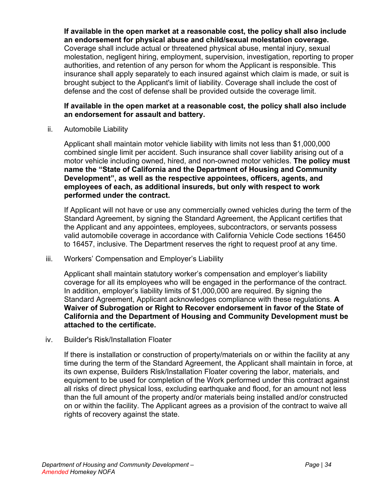**If available in the open market at a reasonable cost, the policy shall also include an endorsement for physical abuse and child/sexual molestation coverage.** Coverage shall include actual or threatened physical abuse, mental injury, sexual molestation, negligent hiring, employment, supervision, investigation, reporting to proper authorities, and retention of any person for whom the Applicant is responsible. This insurance shall apply separately to each insured against which claim is made, or suit is brought subject to the Applicant's limit of liability. Coverage shall include the cost of defense and the cost of defense shall be provided outside the coverage limit.

#### **If available in the open market at a reasonable cost, the policy shall also include an endorsement for assault and battery.**

ii. Automobile Liability

Applicant shall maintain motor vehicle liability with limits not less than \$1,000,000 combined single limit per accident. Such insurance shall cover liability arising out of a motor vehicle including owned, hired, and non-owned motor vehicles. **The policy must name the "State of California and the Department of Housing and Community Development", as well as the respective appointees, officers, agents, and employees of each, as additional insureds, but only with respect to work performed under the contract.** 

If Applicant will not have or use any commercially owned vehicles during the term of the Standard Agreement, by signing the Standard Agreement, the Applicant certifies that the Applicant and any appointees, employees, subcontractors, or servants possess valid automobile coverage in accordance with California Vehicle Code sections 16450 to 16457, inclusive. The Department reserves the right to request proof at any time.

iii. Workers' Compensation and Employer's Liability

Applicant shall maintain statutory worker's compensation and employer's liability coverage for all its employees who will be engaged in the performance of the contract. In addition, employer's liability limits of \$1,000,000 are required. By signing the Standard Agreement, Applicant acknowledges compliance with these regulations. **A Waiver of Subrogation or Right to Recover endorsement in favor of the State of California and the Department of Housing and Community Development must be attached to the certificate.**

iv. Builder's Risk/Installation Floater

If there is installation or construction of property/materials on or within the facility at any time during the term of the Standard Agreement, the Applicant shall maintain in force, at its own expense, Builders Risk/Installation Floater covering the labor, materials, and equipment to be used for completion of the Work performed under this contract against all risks of direct physical loss, excluding earthquake and flood, for an amount not less than the full amount of the property and/or materials being installed and/or constructed on or within the facility. The Applicant agrees as a provision of the contract to waive all rights of recovery against the state.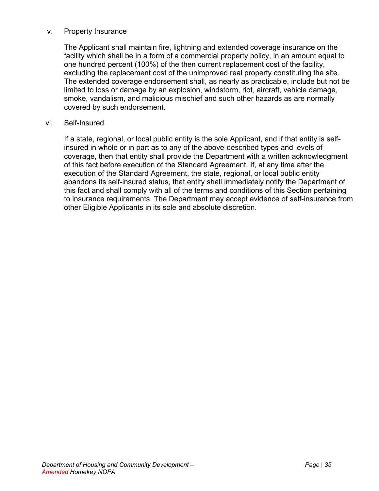#### v. Property Insurance

The Applicant shall maintain fire, lightning and extended coverage insurance on the facility which shall be in a form of a commercial property policy, in an amount equal to one hundred percent (100%) of the then current replacement cost of the facility, excluding the replacement cost of the unimproved real property constituting the site. The extended coverage endorsement shall, as nearly as practicable, include but not be limited to loss or damage by an explosion, windstorm, riot, aircraft, vehicle damage, smoke, vandalism, and malicious mischief and such other hazards as are normally covered by such endorsement.

#### vi. Self-Insured

If a state, regional, or local public entity is the sole Applicant, and if that entity is selfinsured in whole or in part as to any of the above-described types and levels of coverage, then that entity shall provide the Department with a written acknowledgment of this fact before execution of the Standard Agreement. If, at any time after the execution of the Standard Agreement, the state, regional, or local public entity abandons its self-insured status, that entity shall immediately notify the Department of this fact and shall comply with all of the terms and conditions of this Section pertaining to insurance requirements. The Department may accept evidence of self-insurance from other Eligible Applicants in its sole and absolute discretion.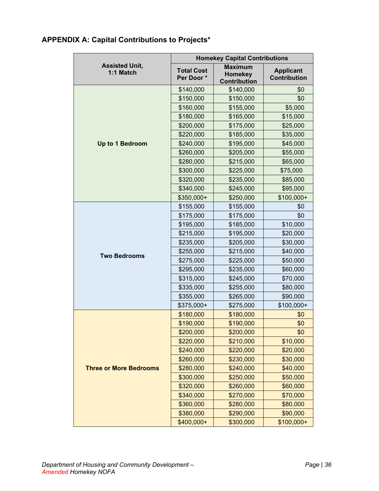## <span id="page-38-0"></span>**APPENDIX A: Capital Contributions to Projects\***

|                                    | <b>Homekey Capital Contributions</b> |                                                         |                                         |  |
|------------------------------------|--------------------------------------|---------------------------------------------------------|-----------------------------------------|--|
| <b>Assisted Unit,</b><br>1:1 Match | <b>Total Cost</b><br>Per Door*       | <b>Maximum</b><br><b>Homekey</b><br><b>Contribution</b> | <b>Applicant</b><br><b>Contribution</b> |  |
|                                    | \$140,000                            | \$140,000                                               | \$0                                     |  |
|                                    | \$150,000                            | \$150,000                                               | \$0                                     |  |
|                                    | \$160,000                            | \$155,000                                               | \$5,000                                 |  |
|                                    | \$180,000                            | \$165,000                                               | \$15,000                                |  |
|                                    | \$200,000                            | \$175,000                                               | \$25,000                                |  |
|                                    | \$220,000                            | \$185,000                                               | \$35,000                                |  |
| Up to 1 Bedroom                    | \$240,000                            | \$195,000                                               | \$45,000                                |  |
|                                    | \$260,000                            | \$205,000                                               | \$55,000                                |  |
|                                    | \$280,000                            | \$215,000                                               | \$65,000                                |  |
|                                    | \$300,000                            | \$225,000                                               | \$75,000                                |  |
|                                    | \$320,000                            | \$235,000                                               | \$85,000                                |  |
|                                    | \$340,000                            | \$245,000                                               | \$95,000                                |  |
|                                    | \$350,000+                           | \$250,000                                               | \$100,000+                              |  |
|                                    | \$155,000                            | \$155,000                                               | \$0                                     |  |
|                                    | \$175,000                            | \$175,000                                               | \$0                                     |  |
|                                    | \$195,000                            | \$185,000                                               | \$10,000                                |  |
|                                    | \$215,000                            | \$195,000                                               | \$20,000                                |  |
|                                    | \$235,000                            | \$205,000                                               | \$30,000                                |  |
|                                    | \$255,000                            | \$215,000                                               | \$40,000                                |  |
| <b>Two Bedrooms</b>                | \$275,000                            | \$225,000                                               | \$50,000                                |  |
|                                    | \$295,000                            | \$235,000                                               | \$60,000                                |  |
|                                    | \$315,000                            | \$245,000                                               | \$70,000                                |  |
|                                    | \$335,000                            | \$255,000                                               | \$80,000                                |  |
|                                    | \$355,000                            | \$265,000                                               | \$90,000                                |  |
|                                    | \$375,000+                           | \$275,000                                               | \$100,000+                              |  |
|                                    | \$180,000                            | \$180,000                                               | \$0                                     |  |
|                                    | \$190,000                            | \$190,000                                               | \$0                                     |  |
|                                    | \$200,000                            | \$200,000                                               | \$0                                     |  |
|                                    | \$220,000                            | \$210,000                                               | \$10,000                                |  |
|                                    | \$240,000                            | \$220,000                                               | \$20,000                                |  |
| <b>Three or More Bedrooms</b>      | \$260,000                            | \$230,000                                               | \$30,000                                |  |
|                                    | \$280,000                            | \$240,000                                               | \$40,000                                |  |
|                                    | \$300,000                            | \$250,000                                               | \$50,000                                |  |
|                                    | \$320,000                            | \$260,000                                               | \$60,000                                |  |
|                                    | \$340,000                            | \$270,000                                               | \$70,000                                |  |
|                                    | \$360,000                            | \$280,000                                               | \$80,000                                |  |
|                                    | \$380,000                            | \$290,000                                               | \$90,000                                |  |
|                                    | \$400,000+                           | \$300,000                                               | $$100,000+$                             |  |